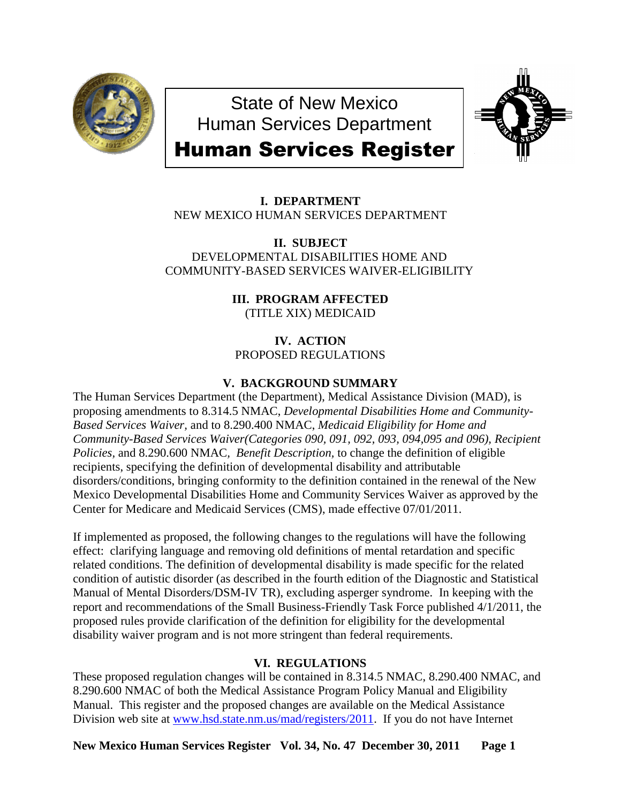

State of New Mexico Human Services Department



# Human Services Register

**I. DEPARTMENT** NEW MEXICO HUMAN SERVICES DEPARTMENT

**II. SUBJECT** DEVELOPMENTAL DISABILITIES HOME AND COMMUNITY-BASED SERVICES WAIVER-ELIGIBILITY

> **III. PROGRAM AFFECTED** (TITLE XIX) MEDICAID

**IV. ACTION** PROPOSED REGULATIONS

# **V. BACKGROUND SUMMARY**

The Human Services Department (the Department), Medical Assistance Division (MAD), is proposing amendments to 8.314.5 NMAC, *Developmental Disabilities Home and Community-Based Services Waiver,* and to 8.290.400 NMAC, *Medicaid Eligibility for Home and Community-Based Services Waiver(Categories 090, 091, 092, 093, 094,095 and 096), Recipient Policies,* and 8.290.600 NMAC*, Benefit Description,* to change the definition of eligible recipients, specifying the definition of developmental disability and attributable disorders/conditions, bringing conformity to the definition contained in the renewal of the New Mexico Developmental Disabilities Home and Community Services Waiver as approved by the Center for Medicare and Medicaid Services (CMS), made effective 07/01/2011.

If implemented as proposed, the following changes to the regulations will have the following effect: clarifying language and removing old definitions of mental retardation and specific related conditions. The definition of developmental disability is made specific for the related condition of autistic disorder (as described in the fourth edition of the Diagnostic and Statistical Manual of Mental Disorders/DSM-IV TR), excluding asperger syndrome. In keeping with the report and recommendations of the Small Business-Friendly Task Force published 4/1/2011, the proposed rules provide clarification of the definition for eligibility for the developmental disability waiver program and is not more stringent than federal requirements.

# **VI. REGULATIONS**

These proposed regulation changes will be contained in 8.314.5 NMAC, 8.290.400 NMAC, and 8.290.600 NMAC of both the Medical Assistance Program Policy Manual and Eligibility Manual. This register and the proposed changes are available on the Medical Assistance Division web site at [www.hsd.state.nm.us/mad/registers/2011.](http://www.hsd.state.nm.us/mad/registers/2011) If you do not have Internet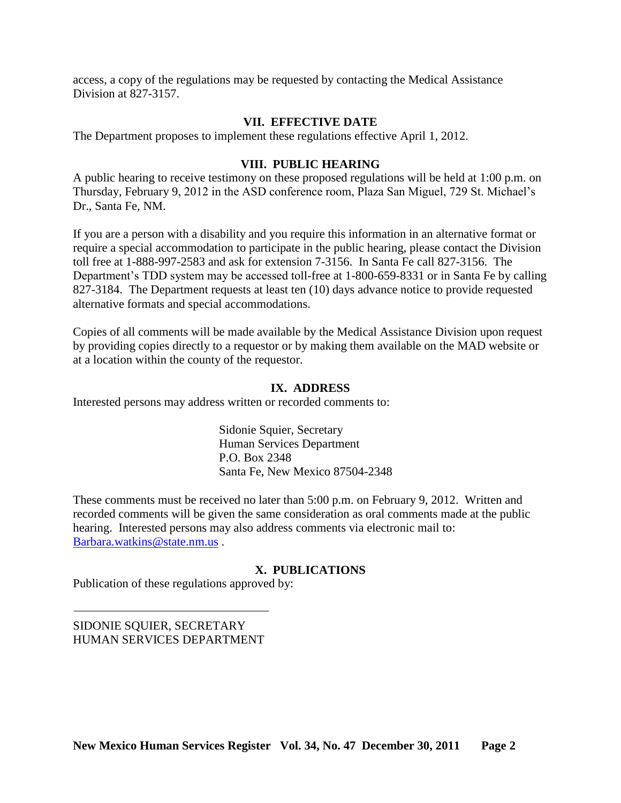access, a copy of the regulations may be requested by contacting the Medical Assistance Division at 827-3157.

## **VII. EFFECTIVE DATE**

The Department proposes to implement these regulations effective April 1, 2012.

## **VIII. PUBLIC HEARING**

A public hearing to receive testimony on these proposed regulations will be held at 1:00 p.m. on Thursday, February 9, 2012 in the ASD conference room, Plaza San Miguel, 729 St. Michael's Dr., Santa Fe, NM.

If you are a person with a disability and you require this information in an alternative format or require a special accommodation to participate in the public hearing, please contact the Division toll free at 1-888-997-2583 and ask for extension 7-3156. In Santa Fe call 827-3156. The Department's TDD system may be accessed toll-free at 1-800-659-8331 or in Santa Fe by calling 827-3184. The Department requests at least ten (10) days advance notice to provide requested alternative formats and special accommodations.

Copies of all comments will be made available by the Medical Assistance Division upon request by providing copies directly to a requestor or by making them available on the MAD website or at a location within the county of the requestor.

## **IX. ADDRESS**

Interested persons may address written or recorded comments to:

Sidonie Squier, Secretary Human Services Department P.O. Box 2348 Santa Fe, New Mexico 87504-2348

These comments must be received no later than 5:00 p.m. on February 9, 2012. Written and recorded comments will be given the same consideration as oral comments made at the public hearing. Interested persons may also address comments via electronic mail to: [Barbara.watkins@state.nm.us](mailto:Barbara.watkins@state.nm.us) .

## **X. PUBLICATIONS**

Publication of these regulations approved by:

SIDONIE SQUIER, SECRETARY HUMAN SERVICES DEPARTMENT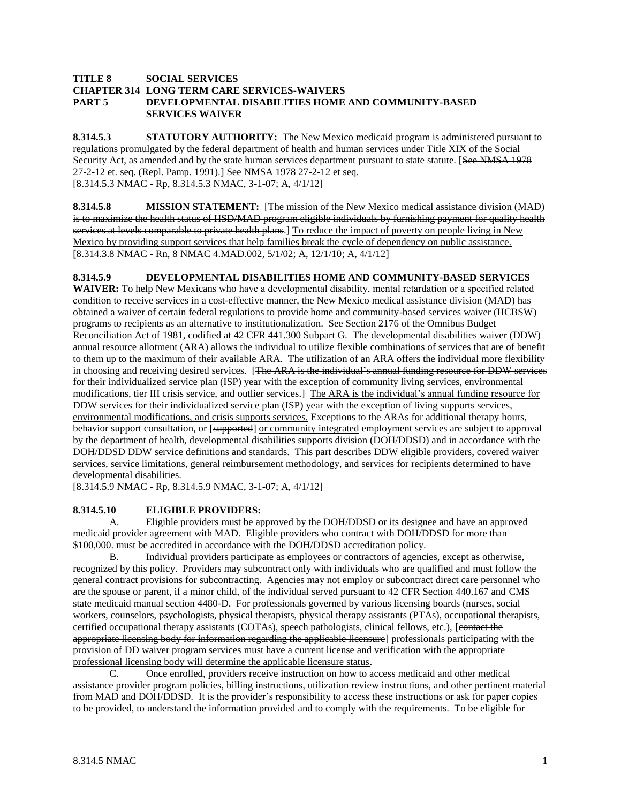#### **TITLE 8 SOCIAL SERVICES CHAPTER 314 LONG TERM CARE SERVICES-WAIVERS PART 5 DEVELOPMENTAL DISABILITIES HOME AND COMMUNITY-BASED SERVICES WAIVER**

**8.314.5.3 STATUTORY AUTHORITY:** The New Mexico medicaid program is administered pursuant to regulations promulgated by the federal department of health and human services under Title XIX of the Social Security Act, as amended and by the state human services department pursuant to state statute. [See NMSA 1978 27-2-12 et. seq. (Repl. Pamp. 1991).] See NMSA 1978 27-2-12 et seq. [8.314.5.3 NMAC - Rp, 8.314.5.3 NMAC, 3-1-07; A, 4/1/12]

**8.314.5.8 MISSION STATEMENT:** [The mission of the New Mexico medical assistance division (MAD) is to maximize the health status of HSD/MAD program eligible individuals by furnishing payment for quality health services at levels comparable to private health plans.] To reduce the impact of poverty on people living in New Mexico by providing support services that help families break the cycle of dependency on public assistance. [8.314.3.8 NMAC - Rn, 8 NMAC 4.MAD.002, 5/1/02; A, 12/1/10; A, 4/1/12]

**8.314.5.9 DEVELOPMENTAL DISABILITIES HOME AND COMMUNITY-BASED SERVICES WAIVER:** To help New Mexicans who have a developmental disability, mental retardation or a specified related condition to receive services in a cost-effective manner, the New Mexico medical assistance division (MAD) has obtained a waiver of certain federal regulations to provide home and community-based services waiver (HCBSW) programs to recipients as an alternative to institutionalization. See Section 2176 of the Omnibus Budget Reconciliation Act of 1981, codified at 42 CFR 441.300 Subpart G. The developmental disabilities waiver (DDW) annual resource allotment (ARA) allows the individual to utilize flexible combinations of services that are of benefit to them up to the maximum of their available ARA. The utilization of an ARA offers the individual more flexibility in choosing and receiving desired services. [The ARA is the individual's annual funding resource for DDW services for their individualized service plan (ISP) year with the exception of community living services, environmental modifications, tier III crisis service, and outlier services.] The ARA is the individual's annual funding resource for DDW services for their individualized service plan (ISP) year with the exception of living supports services, environmental modifications, and crisis supports services. Exceptions to the ARAs for additional therapy hours, behavior support consultation, or [supported] or community integrated employment services are subject to approval by the department of health, developmental disabilities supports division (DOH/DDSD) and in accordance with the DOH/DDSD DDW service definitions and standards. This part describes DDW eligible providers, covered waiver services, service limitations, general reimbursement methodology, and services for recipients determined to have developmental disabilities.

[8.314.5.9 NMAC - Rp, 8.314.5.9 NMAC, 3-1-07; A, 4/1/12]

#### **8.314.5.10 ELIGIBLE PROVIDERS:**

A. Eligible providers must be approved by the DOH/DDSD or its designee and have an approved medicaid provider agreement with MAD. Eligible providers who contract with DOH/DDSD for more than \$100,000. must be accredited in accordance with the DOH/DDSD accreditation policy.

B. Individual providers participate as employees or contractors of agencies, except as otherwise, recognized by this policy. Providers may subcontract only with individuals who are qualified and must follow the general contract provisions for subcontracting. Agencies may not employ or subcontract direct care personnel who are the spouse or parent, if a minor child, of the individual served pursuant to 42 CFR Section 440.167 and CMS state medicaid manual section 4480-D. For professionals governed by various licensing boards (nurses, social workers, counselors, psychologists, physical therapists, physical therapy assistants (PTAs), occupational therapists, certified occupational therapy assistants (COTAs), speech pathologists, clinical fellows, etc.), [contact the appropriate licensing body for information regarding the applicable licensure] professionals participating with the provision of DD waiver program services must have a current license and verification with the appropriate professional licensing body will determine the applicable licensure status.

C. Once enrolled, providers receive instruction on how to access medicaid and other medical assistance provider program policies, billing instructions, utilization review instructions, and other pertinent material from MAD and DOH/DDSD. It is the provider's responsibility to access these instructions or ask for paper copies to be provided, to understand the information provided and to comply with the requirements. To be eligible for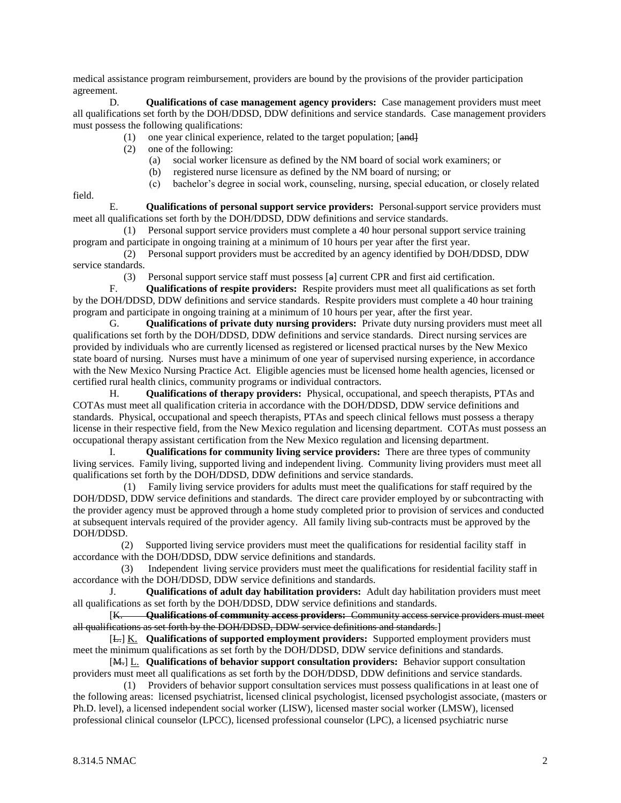medical assistance program reimbursement, providers are bound by the provisions of the provider participation agreement.

D. **Qualifications of case management agency providers:** Case management providers must meet all qualifications set forth by the DOH/DDSD, DDW definitions and service standards. Case management providers must possess the following qualifications:

- (1) one year clinical experience, related to the target population;  $[and]$
- (2) one of the following:
	- (a) social worker licensure as defined by the NM board of social work examiners; or
	- (b) registered nurse licensure as defined by the NM board of nursing; or
	- (c) bachelor's degree in social work, counseling, nursing, special education, or closely related

field.

E. **Qualifications of personal support service providers:** Personal support service providers must meet all qualifications set forth by the DOH/DDSD, DDW definitions and service standards.

 (1) Personal support service providers must complete a 40 hour personal support service training program and participate in ongoing training at a minimum of 10 hours per year after the first year.

 (2) Personal support providers must be accredited by an agency identified by DOH/DDSD, DDW service standards.

(3) Personal support service staff must possess  $[a]$  current CPR and first aid certification.<br>F. **Oualifications of respite providers:** Respite providers must meet all qualifications as

F. **Qualifications of respite providers:** Respite providers must meet all qualifications as set forth by the DOH/DDSD, DDW definitions and service standards. Respite providers must complete a 40 hour training program and participate in ongoing training at a minimum of 10 hours per year, after the first year.

G. **Qualifications of private duty nursing providers:** Private duty nursing providers must meet all qualifications set forth by the DOH/DDSD, DDW definitions and service standards. Direct nursing services are provided by individuals who are currently licensed as registered or licensed practical nurses by the New Mexico state board of nursing. Nurses must have a minimum of one year of supervised nursing experience, in accordance with the New Mexico Nursing Practice Act. Eligible agencies must be licensed home health agencies, licensed or certified rural health clinics, community programs or individual contractors.

H. **Qualifications of therapy providers:** Physical, occupational, and speech therapists, PTAs and COTAs must meet all qualification criteria in accordance with the DOH/DDSD, DDW service definitions and standards. Physical, occupational and speech therapists, PTAs and speech clinical fellows must possess a therapy license in their respective field, from the New Mexico regulation and licensing department. COTAs must possess an occupational therapy assistant certification from the New Mexico regulation and licensing department.

I. **Qualifications for community living service providers:** There are three types of community living services. Family living, supported living and independent living. Community living providers must meet all qualifications set forth by the DOH/DDSD, DDW definitions and service standards.

 (1) Family living service providers for adults must meet the qualifications for staff required by the DOH/DDSD, DDW service definitions and standards. The direct care provider employed by or subcontracting with the provider agency must be approved through a home study completed prior to provision of services and conducted at subsequent intervals required of the provider agency. All family living sub-contracts must be approved by the DOH/DDSD.

 (2) Supported living service providers must meet the qualifications for residential facility staff in accordance with the DOH/DDSD, DDW service definitions and standards.

 (3) Independent living service providers must meet the qualifications for residential facility staff in accordance with the DOH/DDSD, DDW service definitions and standards.

J. **Qualifications of adult day habilitation providers:** Adult day habilitation providers must meet all qualifications as set forth by the DOH/DDSD, DDW service definitions and standards.

[K. **Qualifications of community access providers:** Community access service providers must meet all qualifications as set forth by the DOH/DDSD, DDW service definitions and standards.]

[L.] K. **Qualifications of supported employment providers:** Supported employment providers must meet the minimum qualifications as set forth by the DOH/DDSD, DDW service definitions and standards.

[M.] L. **Qualifications of behavior support consultation providers:** Behavior support consultation providers must meet all qualifications as set forth by the DOH/DDSD, DDW definitions and service standards.

 (1) Providers of behavior support consultation services must possess qualifications in at least one of the following areas: licensed psychiatrist, licensed clinical psychologist, licensed psychologist associate, (masters or Ph.D. level), a licensed independent social worker (LISW), licensed master social worker (LMSW), licensed professional clinical counselor (LPCC), licensed professional counselor (LPC), a licensed psychiatric nurse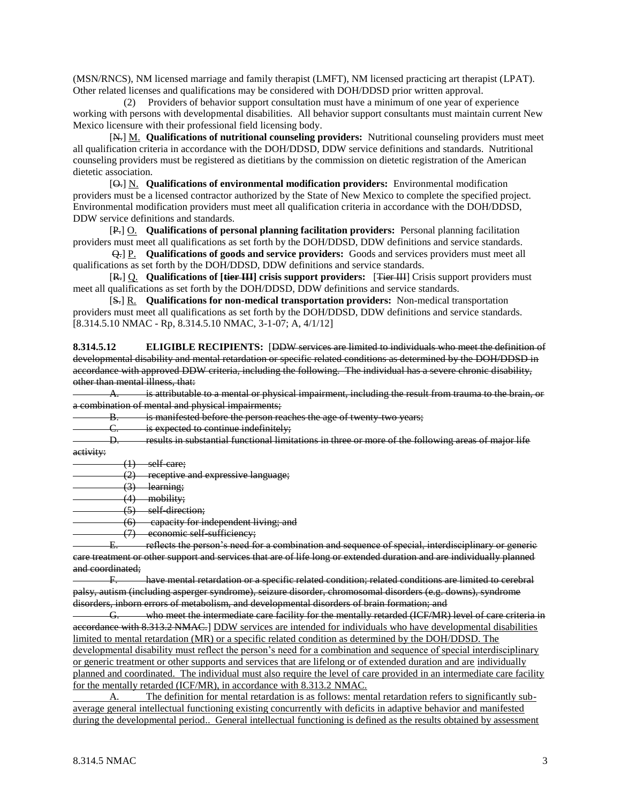(MSN/RNCS), NM licensed marriage and family therapist (LMFT), NM licensed practicing art therapist (LPAT). Other related licenses and qualifications may be considered with DOH/DDSD prior written approval.

 (2) Providers of behavior support consultation must have a minimum of one year of experience working with persons with developmental disabilities. All behavior support consultants must maintain current New Mexico licensure with their professional field licensing body.

[N.] M. **Qualifications of nutritional counseling providers:** Nutritional counseling providers must meet all qualification criteria in accordance with the DOH/DDSD, DDW service definitions and standards. Nutritional counseling providers must be registered as dietitians by the commission on dietetic registration of the American dietetic association.

[O.] N. **Qualifications of environmental modification providers:** Environmental modification providers must be a licensed contractor authorized by the State of New Mexico to complete the specified project. Environmental modification providers must meet all qualification criteria in accordance with the DOH/DDSD, DDW service definitions and standards.

[P.] O. **Qualifications of personal planning facilitation providers:** Personal planning facilitation providers must meet all qualifications as set forth by the DOH/DDSD, DDW definitions and service standards.

Q.] P. **Qualifications of goods and service providers:** Goods and services providers must meet all qualifications as set forth by the DOH/DDSD, DDW definitions and service standards.

[R.] Q. **Qualifications of [tier III] crisis support providers:** [Tier III] Crisis support providers must meet all qualifications as set forth by the DOH/DDSD, DDW definitions and service standards.

[S.] R. **Qualifications for non-medical transportation providers:** Non-medical transportation providers must meet all qualifications as set forth by the DOH/DDSD, DDW definitions and service standards. [8.314.5.10 NMAC - Rp, 8.314.5.10 NMAC, 3-1-07; A, 4/1/12]

**8.314.5.12 ELIGIBLE RECIPIENTS:** [DDW services are limited to individuals who meet the definition of developmental disability and mental retardation or specific related conditions as determined by the DOH/DDSD in accordance with approved DDW criteria, including the following. The individual has a severe chronic disability, other than mental illness, that:

A. is attributable to a mental or physical impairment, including the result from trauma to the brain, or a combination of mental and physical impairments;

B. is manifested before the person reaches the age of twenty-two years;

C. is expected to continue indefinitely;<br>D. results in substantial functional limit

results in substantial functional limitations in three or more of the following areas of major life activity:

 $(1)$  self-care;

(2) receptive and expressive language;

(3) learning;

(4) mobility;

(5) self-direction;

(6) capacity for independent living; and

economic self-sufficiency;

E. reflects the person's need for a combination and sequence of special, interdisciplinary or generic care treatment or other support and services that are of life long or extended duration and are individually planned and coordinated;

F. have mental retardation or a specific related condition; related conditions are limited to cerebral palsy, autism (including asperger syndrome), seizure disorder, chromosomal disorders (e.g. downs), syndrome disorders, inborn errors of metabolism, and developmental disorders of brain formation; and

G. who meet the intermediate care facility for the mentally retarded (ICF/MR) level of care criteria in accordance with 8.313.2 NMAC.] DDW services are intended for individuals who have developmental disabilities limited to mental retardation (MR) or a specific related condition as determined by the DOH/DDSD. The developmental disability must reflect the person's need for a combination and sequence of special interdisciplinary or generic treatment or other supports and services that are lifelong or of extended duration and are individually planned and coordinated. The individual must also require the level of care provided in an intermediate care facility for the mentally retarded (ICF/MR), in accordance with 8.313.2 NMAC.

A. The definition for mental retardation is as follows: mental retardation refers to significantly subaverage general intellectual functioning existing concurrently with deficits in adaptive behavior and manifested during the developmental period.. General intellectual functioning is defined as the results obtained by assessment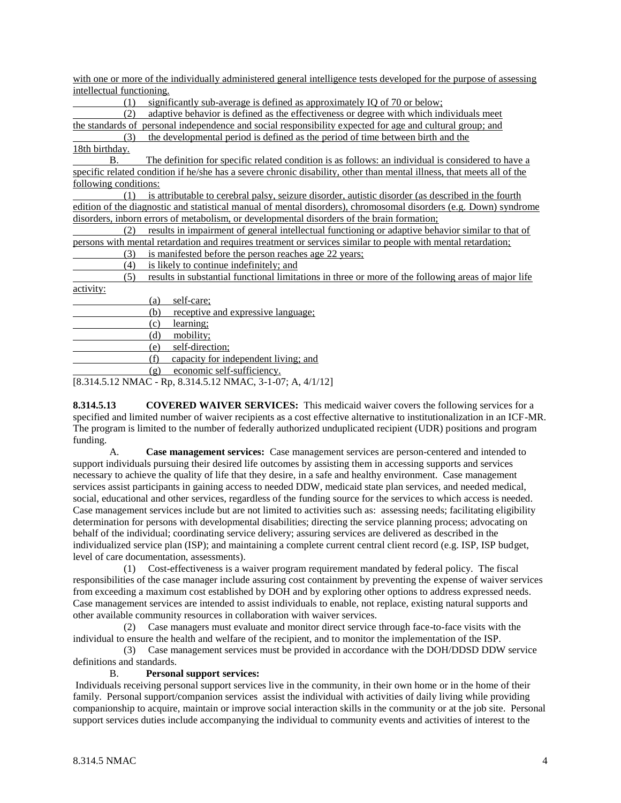| with one or more of the individually administered general intelligence tests developed for the purpose of assessing |  |  |  |  |
|---------------------------------------------------------------------------------------------------------------------|--|--|--|--|
| intellectual functioning.                                                                                           |  |  |  |  |

(1) significantly sub-average is defined as approximately IQ of 70 or below;

 (2) adaptive behavior is defined as the effectiveness or degree with which individuals meet the standards of personal independence and social responsibility expected for age and cultural group; and

 (3) the developmental period is defined as the period of time between birth and the 18th birthday.

B. The definition for specific related condition is as follows: an individual is considered to have a specific related condition if he/she has a severe chronic disability, other than mental illness, that meets all of the following conditions:

 (1) is attributable to cerebral palsy, seizure disorder, autistic disorder (as described in the fourth edition of the diagnostic and statistical manual of mental disorders), chromosomal disorders (e.g. Down) syndrome disorders, inborn errors of metabolism, or developmental disorders of the brain formation;

 (2) results in impairment of general intellectual functioning or adaptive behavior similar to that of persons with mental retardation and requires treatment or services similar to people with mental retardation;

(3) is manifested before the person reaches age 22 years;

(4) is likely to continue indefinitely; and

 (5) results in substantial functional limitations in three or more of the following areas of major life activity:

| (a)  | self-care;                                                                                                |
|------|-----------------------------------------------------------------------------------------------------------|
| (b)  | receptive and expressive language;                                                                        |
| (c)  | learning;                                                                                                 |
| (d)  | mobility;                                                                                                 |
| (e)  | self-direction;                                                                                           |
|      | capacity for independent living; and                                                                      |
| (စ္) | economic self-sufficiency.                                                                                |
|      | $10.214.510 \text{ MHz}$ $\Omega$ $\Omega$ $(14.510 \text{ MHz})$ $(2.1.07 \text{ A}$ $(11.10 \text{ A})$ |

[8.314.5.12 NMAC - Rp, 8.314.5.12 NMAC, 3-1-07; A, 4/1/12]

**8.314.5.13 COVERED WAIVER SERVICES:** This medicaid waiver covers the following services for a specified and limited number of waiver recipients as a cost effective alternative to institutionalization in an ICF-MR. The program is limited to the number of federally authorized unduplicated recipient (UDR) positions and program funding.

A. **Case management services:** Case management services are person-centered and intended to support individuals pursuing their desired life outcomes by assisting them in accessing supports and services necessary to achieve the quality of life that they desire, in a safe and healthy environment. Case management services assist participants in gaining access to needed DDW, medicaid state plan services, and needed medical, social, educational and other services, regardless of the funding source for the services to which access is needed. Case management services include but are not limited to activities such as: assessing needs; facilitating eligibility determination for persons with developmental disabilities; directing the service planning process; advocating on behalf of the individual; coordinating service delivery; assuring services are delivered as described in the individualized service plan (ISP); and maintaining a complete current central client record (e.g. ISP, ISP budget, level of care documentation, assessments).

 (1) Cost-effectiveness is a waiver program requirement mandated by federal policy. The fiscal responsibilities of the case manager include assuring cost containment by preventing the expense of waiver services from exceeding a maximum cost established by DOH and by exploring other options to address expressed needs. Case management services are intended to assist individuals to enable, not replace, existing natural supports and other available community resources in collaboration with waiver services.

 (2) Case managers must evaluate and monitor direct service through face-to-face visits with the individual to ensure the health and welfare of the recipient, and to monitor the implementation of the ISP.

 (3) Case management services must be provided in accordance with the DOH/DDSD DDW service definitions and standards.

#### B. **Personal support services:**

Individuals receiving personal support services live in the community, in their own home or in the home of their family. Personal support/companion services assist the individual with activities of daily living while providing companionship to acquire, maintain or improve social interaction skills in the community or at the job site. Personal support services duties include accompanying the individual to community events and activities of interest to the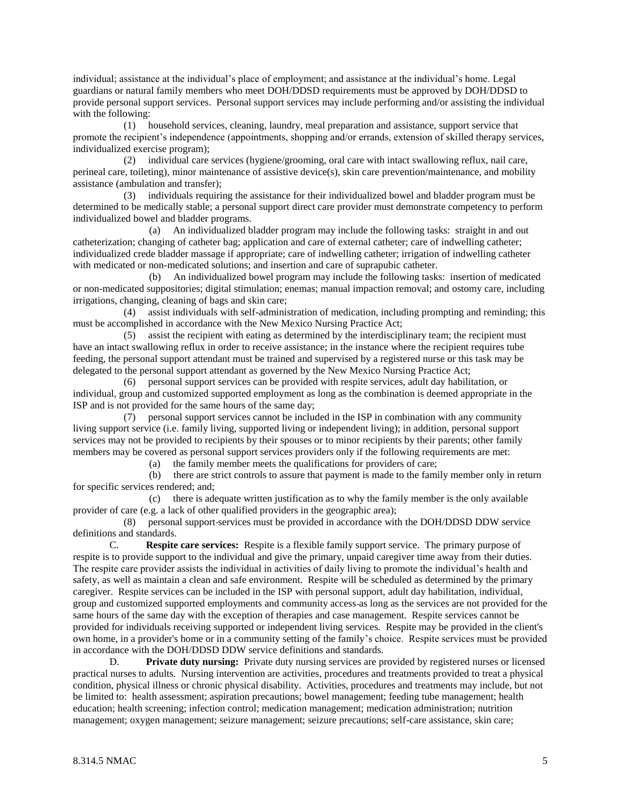individual; assistance at the individual's place of employment; and assistance at the individual's home. Legal guardians or natural family members who meet DOH/DDSD requirements must be approved by DOH/DDSD to provide personal support services. Personal support services may include performing and/or assisting the individual with the following:

 (1) household services, cleaning, laundry, meal preparation and assistance, support service that promote the recipient's independence (appointments, shopping and/or errands, extension of skilled therapy services, individualized exercise program);

 (2) individual care services (hygiene/grooming, oral care with intact swallowing reflux, nail care, perineal care, toileting), minor maintenance of assistive device(s), skin care prevention/maintenance, and mobility assistance (ambulation and transfer);

 (3) individuals requiring the assistance for their individualized bowel and bladder program must be determined to be medically stable; a personal support direct care provider must demonstrate competency to perform individualized bowel and bladder programs.

 (a) An individualized bladder program may include the following tasks: straight in and out catheterization; changing of catheter bag; application and care of external catheter; care of indwelling catheter; individualized crede bladder massage if appropriate; care of indwelling catheter; irrigation of indwelling catheter with medicated or non-medicated solutions; and insertion and care of suprapubic catheter.

 (b) An individualized bowel program may include the following tasks: insertion of medicated or non-medicated suppositories; digital stimulation; enemas; manual impaction removal; and ostomy care, including irrigations, changing, cleaning of bags and skin care;

 (4) assist individuals with self-administration of medication, including prompting and reminding; this must be accomplished in accordance with the New Mexico Nursing Practice Act;

 (5) assist the recipient with eating as determined by the interdisciplinary team; the recipient must have an intact swallowing reflux in order to receive assistance; in the instance where the recipient requires tube feeding, the personal support attendant must be trained and supervised by a registered nurse or this task may be delegated to the personal support attendant as governed by the New Mexico Nursing Practice Act;

 (6) personal support services can be provided with respite services, adult day habilitation, or individual, group and customized supported employment as long as the combination is deemed appropriate in the ISP and is not provided for the same hours of the same day;

 (7) personal support services cannot be included in the ISP in combination with any community living support service (i.e. family living, supported living or independent living); in addition, personal support services may not be provided to recipients by their spouses or to minor recipients by their parents; other family members may be covered as personal support services providers only if the following requirements are met:

(a) the family member meets the qualifications for providers of care;

 (b) there are strict controls to assure that payment is made to the family member only in return for specific services rendered; and;

 (c) there is adequate written justification as to why the family member is the only available provider of care (e.g. a lack of other qualified providers in the geographic area);

 (8) personal support services must be provided in accordance with the DOH/DDSD DDW service definitions and standards.

C. **Respite care services:** Respite is a flexible family support service. The primary purpose of respite is to provide support to the individual and give the primary, unpaid caregiver time away from their duties. The respite care provider assists the individual in activities of daily living to promote the individual's health and safety, as well as maintain a clean and safe environment. Respite will be scheduled as determined by the primary caregiver. Respite services can be included in the ISP with personal support, adult day habilitation, individual, group and customized supported employments and community access as long as the services are not provided for the same hours of the same day with the exception of therapies and case management. Respite services cannot be provided for individuals receiving supported or independent living services. Respite may be provided in the client's own home, in a provider's home or in a community setting of the family's choice. Respite services must be provided in accordance with the DOH/DDSD DDW service definitions and standards.

D. **Private duty nursing:** Private duty nursing services are provided by registered nurses or licensed practical nurses to adults. Nursing intervention are activities, procedures and treatments provided to treat a physical condition, physical illness or chronic physical disability. Activities, procedures and treatments may include, but not be limited to: health assessment; aspiration precautions; bowel management; feeding tube management; health education; health screening; infection control; medication management; medication administration; nutrition management; oxygen management; seizure management; seizure precautions; self-care assistance, skin care;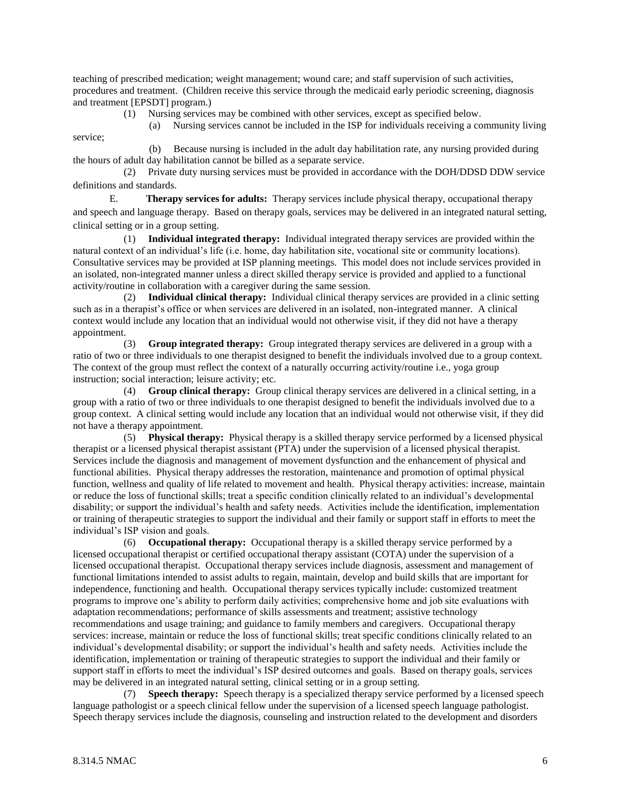teaching of prescribed medication; weight management; wound care; and staff supervision of such activities, procedures and treatment. (Children receive this service through the medicaid early periodic screening, diagnosis and treatment [EPSDT] program.)

(1) Nursing services may be combined with other services, except as specified below.

(a) Nursing services cannot be included in the ISP for individuals receiving a community living

 (b) Because nursing is included in the adult day habilitation rate, any nursing provided during the hours of adult day habilitation cannot be billed as a separate service.

 (2) Private duty nursing services must be provided in accordance with the DOH/DDSD DDW service definitions and standards.

E. **Therapy services for adults:** Therapy services include physical therapy, occupational therapy and speech and language therapy. Based on therapy goals, services may be delivered in an integrated natural setting, clinical setting or in a group setting.

 (1) **Individual integrated therapy:** Individual integrated therapy services are provided within the natural context of an individual's life (i.e. home, day habilitation site, vocational site or community locations). Consultative services may be provided at ISP planning meetings. This model does not include services provided in an isolated, non-integrated manner unless a direct skilled therapy service is provided and applied to a functional activity/routine in collaboration with a caregiver during the same session.

 (2) **Individual clinical therapy:** Individual clinical therapy services are provided in a clinic setting such as in a therapist's office or when services are delivered in an isolated, non-integrated manner. A clinical context would include any location that an individual would not otherwise visit, if they did not have a therapy appointment.

 (3) **Group integrated therapy:** Group integrated therapy services are delivered in a group with a ratio of two or three individuals to one therapist designed to benefit the individuals involved due to a group context. The context of the group must reflect the context of a naturally occurring activity/routine i.e., yoga group instruction; social interaction; leisure activity; etc.

 (4) **Group clinical therapy:** Group clinical therapy services are delivered in a clinical setting, in a group with a ratio of two or three individuals to one therapist designed to benefit the individuals involved due to a group context. A clinical setting would include any location that an individual would not otherwise visit, if they did not have a therapy appointment.

 (5) **Physical therapy:** Physical therapy is a skilled therapy service performed by a licensed physical therapist or a licensed physical therapist assistant (PTA) under the supervision of a licensed physical therapist. Services include the diagnosis and management of movement dysfunction and the enhancement of physical and functional abilities. Physical therapy addresses the restoration, maintenance and promotion of optimal physical function, wellness and quality of life related to movement and health. Physical therapy activities: increase, maintain or reduce the loss of functional skills; treat a specific condition clinically related to an individual's developmental disability; or support the individual's health and safety needs. Activities include the identification, implementation or training of therapeutic strategies to support the individual and their family or support staff in efforts to meet the individual's ISP vision and goals.

 (6) **Occupational therapy:** Occupational therapy is a skilled therapy service performed by a licensed occupational therapist or certified occupational therapy assistant (COTA) under the supervision of a licensed occupational therapist. Occupational therapy services include diagnosis, assessment and management of functional limitations intended to assist adults to regain, maintain, develop and build skills that are important for independence, functioning and health. Occupational therapy services typically include: customized treatment programs to improve one's ability to perform daily activities; comprehensive home and job site evaluations with adaptation recommendations; performance of skills assessments and treatment; assistive technology recommendations and usage training; and guidance to family members and caregivers. Occupational therapy services: increase, maintain or reduce the loss of functional skills; treat specific conditions clinically related to an individual's developmental disability; or support the individual's health and safety needs. Activities include the identification, implementation or training of therapeutic strategies to support the individual and their family or support staff in efforts to meet the individual's ISP desired outcomes and goals. Based on therapy goals, services may be delivered in an integrated natural setting, clinical setting or in a group setting.

 (7) **Speech therapy:** Speech therapy is a specialized therapy service performed by a licensed speech language pathologist or a speech clinical fellow under the supervision of a licensed speech language pathologist. Speech therapy services include the diagnosis, counseling and instruction related to the development and disorders

service;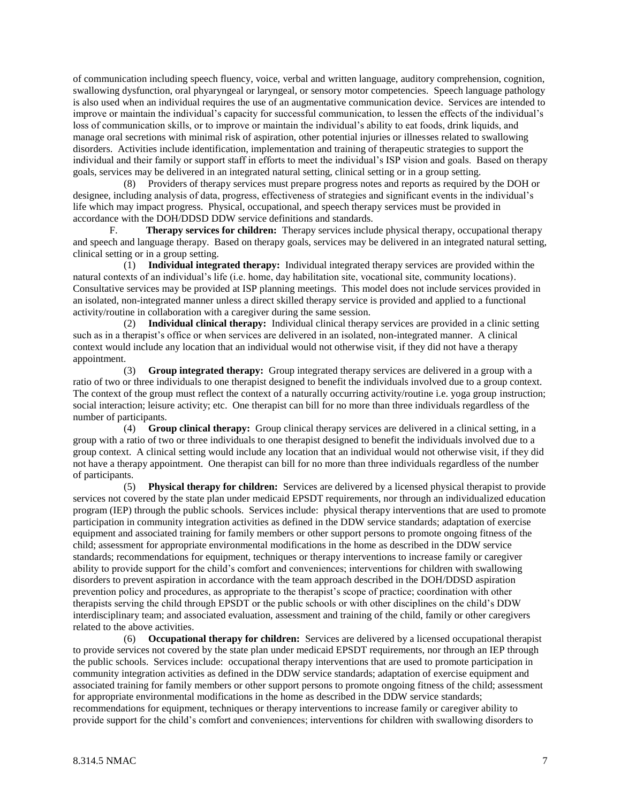of communication including speech fluency, voice, verbal and written language, auditory comprehension, cognition, swallowing dysfunction, oral phyaryngeal or laryngeal, or sensory motor competencies. Speech language pathology is also used when an individual requires the use of an augmentative communication device. Services are intended to improve or maintain the individual's capacity for successful communication, to lessen the effects of the individual's loss of communication skills, or to improve or maintain the individual's ability to eat foods, drink liquids, and manage oral secretions with minimal risk of aspiration, other potential injuries or illnesses related to swallowing disorders. Activities include identification, implementation and training of therapeutic strategies to support the individual and their family or support staff in efforts to meet the individual's ISP vision and goals. Based on therapy goals, services may be delivered in an integrated natural setting, clinical setting or in a group setting.

 (8) Providers of therapy services must prepare progress notes and reports as required by the DOH or designee, including analysis of data, progress, effectiveness of strategies and significant events in the individual's life which may impact progress. Physical, occupational, and speech therapy services must be provided in accordance with the DOH/DDSD DDW service definitions and standards.

F. **Therapy services for children:** Therapy services include physical therapy, occupational therapy and speech and language therapy. Based on therapy goals, services may be delivered in an integrated natural setting, clinical setting or in a group setting.

 (1) **Individual integrated therapy:** Individual integrated therapy services are provided within the natural contexts of an individual's life (i.e. home, day habilitation site, vocational site, community locations). Consultative services may be provided at ISP planning meetings. This model does not include services provided in an isolated, non-integrated manner unless a direct skilled therapy service is provided and applied to a functional activity/routine in collaboration with a caregiver during the same session.

 (2) **Individual clinical therapy:** Individual clinical therapy services are provided in a clinic setting such as in a therapist's office or when services are delivered in an isolated, non-integrated manner. A clinical context would include any location that an individual would not otherwise visit, if they did not have a therapy appointment.

 (3) **Group integrated therapy:** Group integrated therapy services are delivered in a group with a ratio of two or three individuals to one therapist designed to benefit the individuals involved due to a group context. The context of the group must reflect the context of a naturally occurring activity/routine i.e. yoga group instruction; social interaction; leisure activity; etc. One therapist can bill for no more than three individuals regardless of the number of participants.

 (4) **Group clinical therapy:** Group clinical therapy services are delivered in a clinical setting, in a group with a ratio of two or three individuals to one therapist designed to benefit the individuals involved due to a group context. A clinical setting would include any location that an individual would not otherwise visit, if they did not have a therapy appointment. One therapist can bill for no more than three individuals regardless of the number of participants.

 (5) **Physical therapy for children:** Services are delivered by a licensed physical therapist to provide services not covered by the state plan under medicaid EPSDT requirements, nor through an individualized education program (IEP) through the public schools. Services include: physical therapy interventions that are used to promote participation in community integration activities as defined in the DDW service standards; adaptation of exercise equipment and associated training for family members or other support persons to promote ongoing fitness of the child; assessment for appropriate environmental modifications in the home as described in the DDW service standards; recommendations for equipment, techniques or therapy interventions to increase family or caregiver ability to provide support for the child's comfort and conveniences; interventions for children with swallowing disorders to prevent aspiration in accordance with the team approach described in the DOH/DDSD aspiration prevention policy and procedures, as appropriate to the therapist's scope of practice; coordination with other therapists serving the child through EPSDT or the public schools or with other disciplines on the child's DDW interdisciplinary team; and associated evaluation, assessment and training of the child, family or other caregivers related to the above activities.

 (6) **Occupational therapy for children:** Services are delivered by a licensed occupational therapist to provide services not covered by the state plan under medicaid EPSDT requirements, nor through an IEP through the public schools. Services include: occupational therapy interventions that are used to promote participation in community integration activities as defined in the DDW service standards; adaptation of exercise equipment and associated training for family members or other support persons to promote ongoing fitness of the child; assessment for appropriate environmental modifications in the home as described in the DDW service standards; recommendations for equipment, techniques or therapy interventions to increase family or caregiver ability to provide support for the child's comfort and conveniences; interventions for children with swallowing disorders to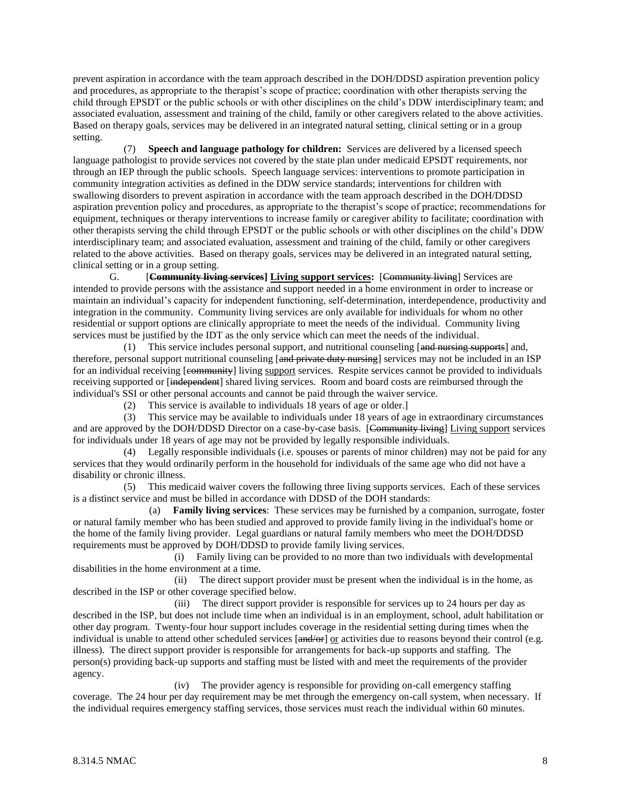prevent aspiration in accordance with the team approach described in the DOH/DDSD aspiration prevention policy and procedures, as appropriate to the therapist's scope of practice; coordination with other therapists serving the child through EPSDT or the public schools or with other disciplines on the child's DDW interdisciplinary team; and associated evaluation, assessment and training of the child, family or other caregivers related to the above activities. Based on therapy goals, services may be delivered in an integrated natural setting, clinical setting or in a group setting.

 (7) **Speech and language pathology for children:** Services are delivered by a licensed speech language pathologist to provide services not covered by the state plan under medicaid EPSDT requirements, nor through an IEP through the public schools. Speech language services: interventions to promote participation in community integration activities as defined in the DDW service standards; interventions for children with swallowing disorders to prevent aspiration in accordance with the team approach described in the DOH/DDSD aspiration prevention policy and procedures, as appropriate to the therapist's scope of practice; recommendations for equipment, techniques or therapy interventions to increase family or caregiver ability to facilitate; coordination with other therapists serving the child through EPSDT or the public schools or with other disciplines on the child's DDW interdisciplinary team; and associated evaluation, assessment and training of the child, family or other caregivers related to the above activities. Based on therapy goals, services may be delivered in an integrated natural setting, clinical setting or in a group setting.

G. [**Community living services] Living support services:** [Community living] Services are intended to provide persons with the assistance and support needed in a home environment in order to increase or maintain an individual's capacity for independent functioning, self-determination, interdependence, productivity and integration in the community. Community living services are only available for individuals for whom no other residential or support options are clinically appropriate to meet the needs of the individual. Community living services must be justified by the IDT as the only service which can meet the needs of the individual.

(1) This service includes personal support, and nutritional counseling  $[and$  nursing supports $]$  and, therefore, personal support nutritional counseling [and private duty nursing] services may not be included in an ISP for an individual receiving [community] living support services. Respite services cannot be provided to individuals receiving supported or [independent] shared living services. Room and board costs are reimbursed through the individual's SSI or other personal accounts and cannot be paid through the waiver service.

(2) This service is available to individuals 18 years of age or older.]

 (3) This service may be available to individuals under 18 years of age in extraordinary circumstances and are approved by the DOH/DDSD Director on a case-by-case basis. [Community living] Living support services for individuals under 18 years of age may not be provided by legally responsible individuals.

 (4) Legally responsible individuals (i.e. spouses or parents of minor children) may not be paid for any services that they would ordinarily perform in the household for individuals of the same age who did not have a disability or chronic illness.

 (5) This medicaid waiver covers the following three living supports services. Each of these services is a distinct service and must be billed in accordance with DDSD of the DOH standards:

 (a) **Family living services**: These services may be furnished by a companion, surrogate, foster or natural family member who has been studied and approved to provide family living in the individual's home or the home of the family living provider. Legal guardians or natural family members who meet the DOH/DDSD requirements must be approved by DOH/DDSD to provide family living services.

 (i) Family living can be provided to no more than two individuals with developmental disabilities in the home environment at a time.

 (ii) The direct support provider must be present when the individual is in the home, as described in the ISP or other coverage specified below.

 (iii) The direct support provider is responsible for services up to 24 hours per day as described in the ISP, but does not include time when an individual is in an employment, school, adult habilitation or other day program. Twenty-four hour support includes coverage in the residential setting during times when the individual is unable to attend other scheduled services  $[and/or]$  or activities due to reasons beyond their control (e.g. illness). The direct support provider is responsible for arrangements for back-up supports and staffing. The person(s) providing back-up supports and staffing must be listed with and meet the requirements of the provider agency.

 (iv) The provider agency is responsible for providing on-call emergency staffing coverage. The 24 hour per day requirement may be met through the emergency on-call system, when necessary. If the individual requires emergency staffing services, those services must reach the individual within 60 minutes.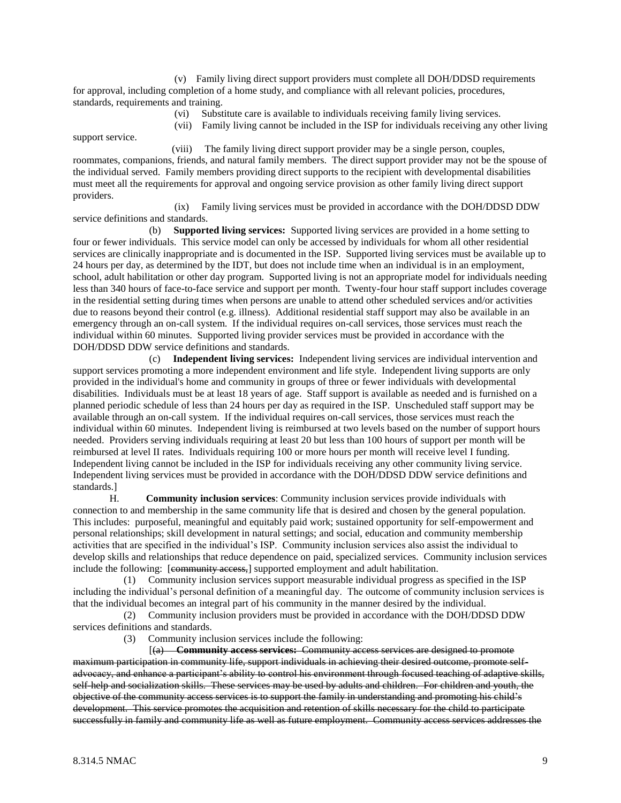(v) Family living direct support providers must complete all DOH/DDSD requirements for approval, including completion of a home study, and compliance with all relevant policies, procedures, standards, requirements and training.

- (vi) Substitute care is available to individuals receiving family living services.
- (vii) Family living cannot be included in the ISP for individuals receiving any other living

 (viii) The family living direct support provider may be a single person, couples, roommates, companions, friends, and natural family members. The direct support provider may not be the spouse of the individual served. Family members providing direct supports to the recipient with developmental disabilities must meet all the requirements for approval and ongoing service provision as other family living direct support providers.

 (ix) Family living services must be provided in accordance with the DOH/DDSD DDW service definitions and standards.

 (b) **Supported living services:** Supported living services are provided in a home setting to four or fewer individuals. This service model can only be accessed by individuals for whom all other residential services are clinically inappropriate and is documented in the ISP. Supported living services must be available up to 24 hours per day, as determined by the IDT, but does not include time when an individual is in an employment, school, adult habilitation or other day program. Supported living is not an appropriate model for individuals needing less than 340 hours of face-to-face service and support per month. Twenty-four hour staff support includes coverage in the residential setting during times when persons are unable to attend other scheduled services and/or activities due to reasons beyond their control (e.g. illness). Additional residential staff support may also be available in an emergency through an on-call system. If the individual requires on-call services, those services must reach the individual within 60 minutes. Supported living provider services must be provided in accordance with the DOH/DDSD DDW service definitions and standards.

 (c) **Independent living services:** Independent living services are individual intervention and support services promoting a more independent environment and life style. Independent living supports are only provided in the individual's home and community in groups of three or fewer individuals with developmental disabilities. Individuals must be at least 18 years of age. Staff support is available as needed and is furnished on a planned periodic schedule of less than 24 hours per day as required in the ISP. Unscheduled staff support may be available through an on-call system. If the individual requires on-call services, those services must reach the individual within 60 minutes. Independent living is reimbursed at two levels based on the number of support hours needed. Providers serving individuals requiring at least 20 but less than 100 hours of support per month will be reimbursed at level II rates. Individuals requiring 100 or more hours per month will receive level I funding. Independent living cannot be included in the ISP for individuals receiving any other community living service. Independent living services must be provided in accordance with the DOH/DDSD DDW service definitions and standards.]

H. **Community inclusion services**: Community inclusion services provide individuals with connection to and membership in the same community life that is desired and chosen by the general population. This includes: purposeful, meaningful and equitably paid work; sustained opportunity for self-empowerment and personal relationships; skill development in natural settings; and social, education and community membership activities that are specified in the individual's ISP. Community inclusion services also assist the individual to develop skills and relationships that reduce dependence on paid, specialized services. Community inclusion services include the following: [community access,] supported employment and adult habilitation.

 (1) Community inclusion services support measurable individual progress as specified in the ISP including the individual's personal definition of a meaningful day. The outcome of community inclusion services is that the individual becomes an integral part of his community in the manner desired by the individual.

 (2) Community inclusion providers must be provided in accordance with the DOH/DDSD DDW services definitions and standards.

(3) Community inclusion services include the following:

 [(a) **Community access services:** Community access services are designed to promote maximum participation in community life, support individuals in achieving their desired outcome, promote selfadvocacy, and enhance a participant's ability to control his environment through focused teaching of adaptive skills, self-help and socialization skills. These services may be used by adults and children. For children and youth, the objective of the community access services is to support the family in understanding and promoting his child's development. This service promotes the acquisition and retention of skills necessary for the child to participate successfully in family and community life as well as future employment. Community access services addresses the

support service.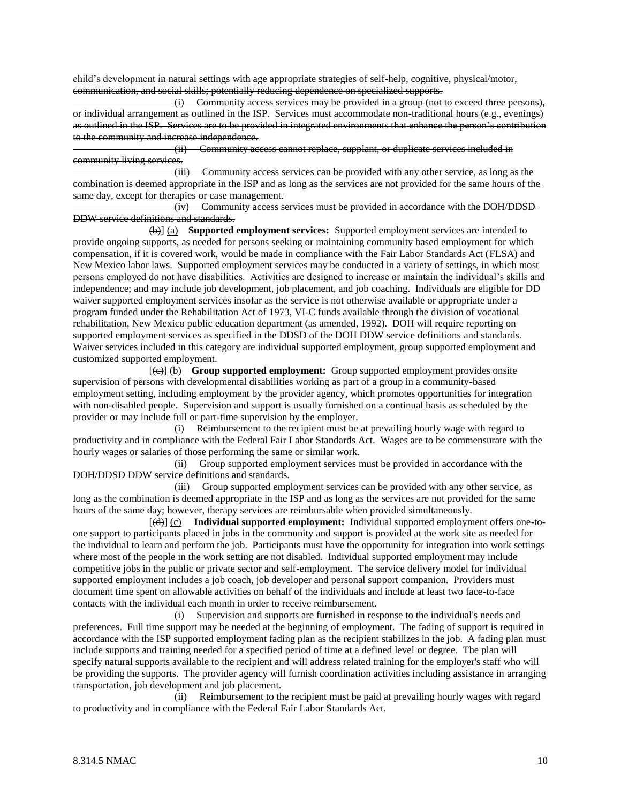child's development in natural settings with age appropriate strategies of self-help, cognitive, physical/motor, communication, and social skills; potentially reducing dependence on specialized supports.

 (i) Community access services may be provided in a group (not to exceed three persons), or individual arrangement as outlined in the ISP. Services must accommodate non-traditional hours (e.g., evenings) as outlined in the ISP. Services are to be provided in integrated environments that enhance the person's contribution to the community and increase independence.

 (ii) Community access cannot replace, supplant, or duplicate services included in community living services.

 (iii) Community access services can be provided with any other service, as long as the combination is deemed appropriate in the ISP and as long as the services are not provided for the same hours of the same day, except for therapies or case management.

 (iv) Community access services must be provided in accordance with the DOH/DDSD DDW service definitions and standards.

 (b)] (a) **Supported employment services:** Supported employment services are intended to provide ongoing supports, as needed for persons seeking or maintaining community based employment for which compensation, if it is covered work, would be made in compliance with the Fair Labor Standards Act (FLSA) and New Mexico labor laws. Supported employment services may be conducted in a variety of settings, in which most persons employed do not have disabilities. Activities are designed to increase or maintain the individual's skills and independence; and may include job development, job placement, and job coaching. Individuals are eligible for DD waiver supported employment services insofar as the service is not otherwise available or appropriate under a program funded under the Rehabilitation Act of 1973, VI-C funds available through the division of vocational rehabilitation, New Mexico public education department (as amended, 1992). DOH will require reporting on supported employment services as specified in the DDSD of the DOH DDW service definitions and standards. Waiver services included in this category are individual supported employment, group supported employment and customized supported employment.

 [(c)] (b) **Group supported employment:** Group supported employment provides onsite supervision of persons with developmental disabilities working as part of a group in a community-based employment setting, including employment by the provider agency, which promotes opportunities for integration with non-disabled people. Supervision and support is usually furnished on a continual basis as scheduled by the provider or may include full or part-time supervision by the employer.

 (i) Reimbursement to the recipient must be at prevailing hourly wage with regard to productivity and in compliance with the Federal Fair Labor Standards Act. Wages are to be commensurate with the hourly wages or salaries of those performing the same or similar work.

 (ii) Group supported employment services must be provided in accordance with the DOH/DDSD DDW service definitions and standards.

 (iii) Group supported employment services can be provided with any other service, as long as the combination is deemed appropriate in the ISP and as long as the services are not provided for the same hours of the same day; however, therapy services are reimbursable when provided simultaneously.

 [(d)] (c) **Individual supported employment:** Individual supported employment offers one-toone support to participants placed in jobs in the community and support is provided at the work site as needed for the individual to learn and perform the job. Participants must have the opportunity for integration into work settings where most of the people in the work setting are not disabled. Individual supported employment may include competitive jobs in the public or private sector and self-employment. The service delivery model for individual supported employment includes a job coach, job developer and personal support companion. Providers must document time spent on allowable activities on behalf of the individuals and include at least two face-to-face contacts with the individual each month in order to receive reimbursement.

 (i) Supervision and supports are furnished in response to the individual's needs and preferences. Full time support may be needed at the beginning of employment. The fading of support is required in accordance with the ISP supported employment fading plan as the recipient stabilizes in the job. A fading plan must include supports and training needed for a specified period of time at a defined level or degree. The plan will specify natural supports available to the recipient and will address related training for the employer's staff who will be providing the supports. The provider agency will furnish coordination activities including assistance in arranging transportation, job development and job placement.

 (ii) Reimbursement to the recipient must be paid at prevailing hourly wages with regard to productivity and in compliance with the Federal Fair Labor Standards Act.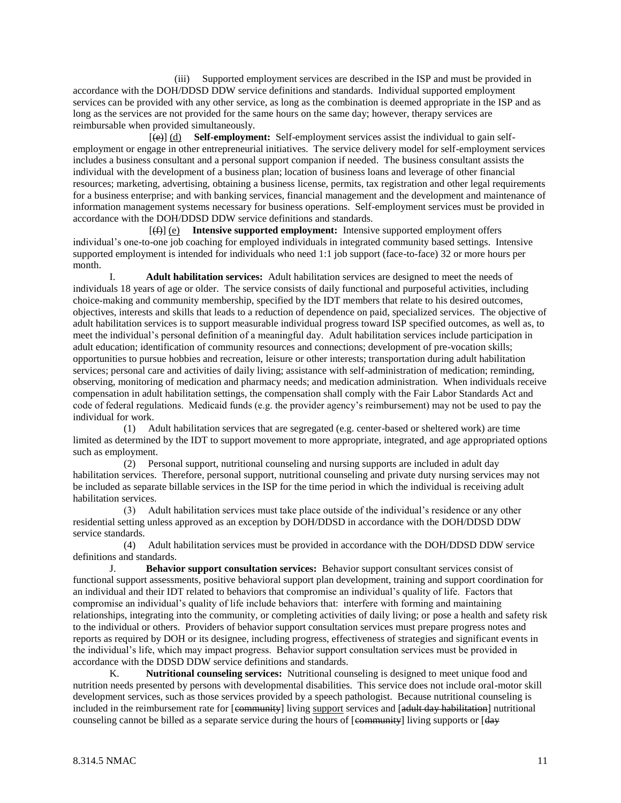(iii) Supported employment services are described in the ISP and must be provided in accordance with the DOH/DDSD DDW service definitions and standards. Individual supported employment services can be provided with any other service, as long as the combination is deemed appropriate in the ISP and as long as the services are not provided for the same hours on the same day; however, therapy services are reimbursable when provided simultaneously.

 [(e)] (d) **Self-employment:** Self-employment services assist the individual to gain selfemployment or engage in other entrepreneurial initiatives. The service delivery model for self-employment services includes a business consultant and a personal support companion if needed. The business consultant assists the individual with the development of a business plan; location of business loans and leverage of other financial resources; marketing, advertising, obtaining a business license, permits, tax registration and other legal requirements for a business enterprise; and with banking services, financial management and the development and maintenance of information management systems necessary for business operations. Self-employment services must be provided in accordance with the DOH/DDSD DDW service definitions and standards.

 [(f)] (e) **Intensive supported employment:** Intensive supported employment offers individual's one-to-one job coaching for employed individuals in integrated community based settings. Intensive supported employment is intended for individuals who need 1:1 job support (face-to-face) 32 or more hours per month.

I. **Adult habilitation services:** Adult habilitation services are designed to meet the needs of individuals 18 years of age or older. The service consists of daily functional and purposeful activities, including choice-making and community membership, specified by the IDT members that relate to his desired outcomes, objectives, interests and skills that leads to a reduction of dependence on paid, specialized services. The objective of adult habilitation services is to support measurable individual progress toward ISP specified outcomes, as well as, to meet the individual's personal definition of a meaningful day. Adult habilitation services include participation in adult education; identification of community resources and connections; development of pre-vocation skills; opportunities to pursue hobbies and recreation, leisure or other interests; transportation during adult habilitation services; personal care and activities of daily living; assistance with self-administration of medication; reminding, observing, monitoring of medication and pharmacy needs; and medication administration. When individuals receive compensation in adult habilitation settings, the compensation shall comply with the Fair Labor Standards Act and code of federal regulations. Medicaid funds (e.g. the provider agency's reimbursement) may not be used to pay the individual for work.

 (1) Adult habilitation services that are segregated (e.g. center-based or sheltered work) are time limited as determined by the IDT to support movement to more appropriate, integrated, and age appropriated options such as employment.

 (2) Personal support, nutritional counseling and nursing supports are included in adult day habilitation services. Therefore, personal support, nutritional counseling and private duty nursing services may not be included as separate billable services in the ISP for the time period in which the individual is receiving adult habilitation services.

 (3) Adult habilitation services must take place outside of the individual's residence or any other residential setting unless approved as an exception by DOH/DDSD in accordance with the DOH/DDSD DDW service standards.

 (4) Adult habilitation services must be provided in accordance with the DOH/DDSD DDW service definitions and standards.

J. **Behavior support consultation services:** Behavior support consultant services consist of functional support assessments, positive behavioral support plan development, training and support coordination for an individual and their IDT related to behaviors that compromise an individual's quality of life. Factors that compromise an individual's quality of life include behaviors that: interfere with forming and maintaining relationships, integrating into the community, or completing activities of daily living; or pose a health and safety risk to the individual or others. Providers of behavior support consultation services must prepare progress notes and reports as required by DOH or its designee, including progress, effectiveness of strategies and significant events in the individual's life, which may impact progress. Behavior support consultation services must be provided in accordance with the DDSD DDW service definitions and standards.

K. **Nutritional counseling services:** Nutritional counseling is designed to meet unique food and nutrition needs presented by persons with developmental disabilities. This service does not include oral-motor skill development services, such as those services provided by a speech pathologist. Because nutritional counseling is included in the reimbursement rate for [community] living support services and [adult day habilitation] nutritional counseling cannot be billed as a separate service during the hours of [community] living supports or [day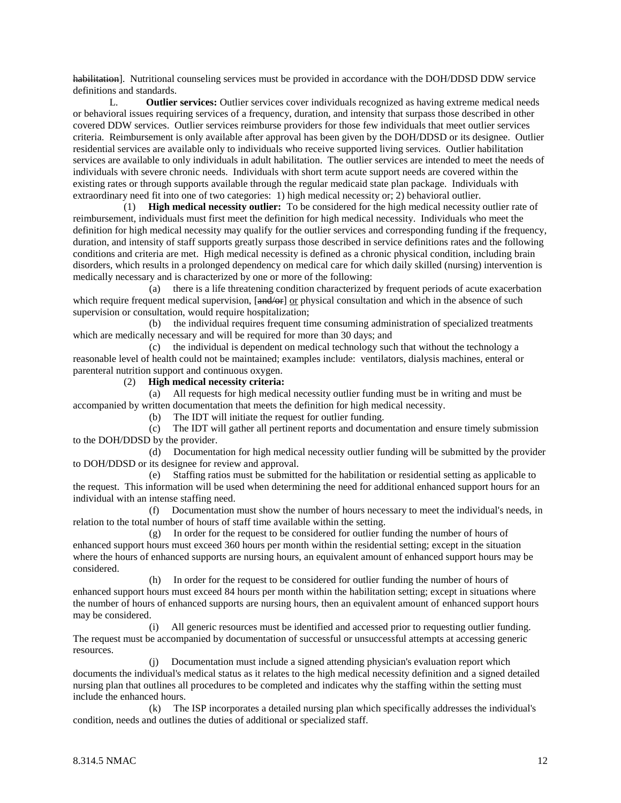habilitation]. Nutritional counseling services must be provided in accordance with the DOH/DDSD DDW service definitions and standards.

L. **Outlier services:** Outlier services cover individuals recognized as having extreme medical needs or behavioral issues requiring services of a frequency, duration, and intensity that surpass those described in other covered DDW services. Outlier services reimburse providers for those few individuals that meet outlier services criteria. Reimbursement is only available after approval has been given by the DOH/DDSD or its designee. Outlier residential services are available only to individuals who receive supported living services. Outlier habilitation services are available to only individuals in adult habilitation. The outlier services are intended to meet the needs of individuals with severe chronic needs. Individuals with short term acute support needs are covered within the existing rates or through supports available through the regular medicaid state plan package. Individuals with extraordinary need fit into one of two categories: 1) high medical necessity or; 2) behavioral outlier.

 (1) **High medical necessity outlier:** To be considered for the high medical necessity outlier rate of reimbursement, individuals must first meet the definition for high medical necessity. Individuals who meet the definition for high medical necessity may qualify for the outlier services and corresponding funding if the frequency, duration, and intensity of staff supports greatly surpass those described in service definitions rates and the following conditions and criteria are met. High medical necessity is defined as a chronic physical condition, including brain disorders, which results in a prolonged dependency on medical care for which daily skilled (nursing) intervention is medically necessary and is characterized by one or more of the following:

 (a) there is a life threatening condition characterized by frequent periods of acute exacerbation which require frequent medical supervision,  $\left[\frac{and}{\alpha}\right]$  or physical consultation and which in the absence of such supervision or consultation, would require hospitalization;

 (b) the individual requires frequent time consuming administration of specialized treatments which are medically necessary and will be required for more than 30 days; and

 (c) the individual is dependent on medical technology such that without the technology a reasonable level of health could not be maintained; examples include: ventilators, dialysis machines, enteral or parenteral nutrition support and continuous oxygen.

(2) **High medical necessity criteria:**

 (a) All requests for high medical necessity outlier funding must be in writing and must be accompanied by written documentation that meets the definition for high medical necessity.

(b) The IDT will initiate the request for outlier funding.

 (c) The IDT will gather all pertinent reports and documentation and ensure timely submission to the DOH/DDSD by the provider.

 (d) Documentation for high medical necessity outlier funding will be submitted by the provider to DOH/DDSD or its designee for review and approval.

 (e) Staffing ratios must be submitted for the habilitation or residential setting as applicable to the request. This information will be used when determining the need for additional enhanced support hours for an individual with an intense staffing need.

 (f) Documentation must show the number of hours necessary to meet the individual's needs, in relation to the total number of hours of staff time available within the setting.

 (g) In order for the request to be considered for outlier funding the number of hours of enhanced support hours must exceed 360 hours per month within the residential setting; except in the situation where the hours of enhanced supports are nursing hours, an equivalent amount of enhanced support hours may be considered.

 (h) In order for the request to be considered for outlier funding the number of hours of enhanced support hours must exceed 84 hours per month within the habilitation setting; except in situations where the number of hours of enhanced supports are nursing hours, then an equivalent amount of enhanced support hours may be considered.

 (i) All generic resources must be identified and accessed prior to requesting outlier funding. The request must be accompanied by documentation of successful or unsuccessful attempts at accessing generic resources.

 (j) Documentation must include a signed attending physician's evaluation report which documents the individual's medical status as it relates to the high medical necessity definition and a signed detailed nursing plan that outlines all procedures to be completed and indicates why the staffing within the setting must include the enhanced hours.

 (k) The ISP incorporates a detailed nursing plan which specifically addresses the individual's condition, needs and outlines the duties of additional or specialized staff.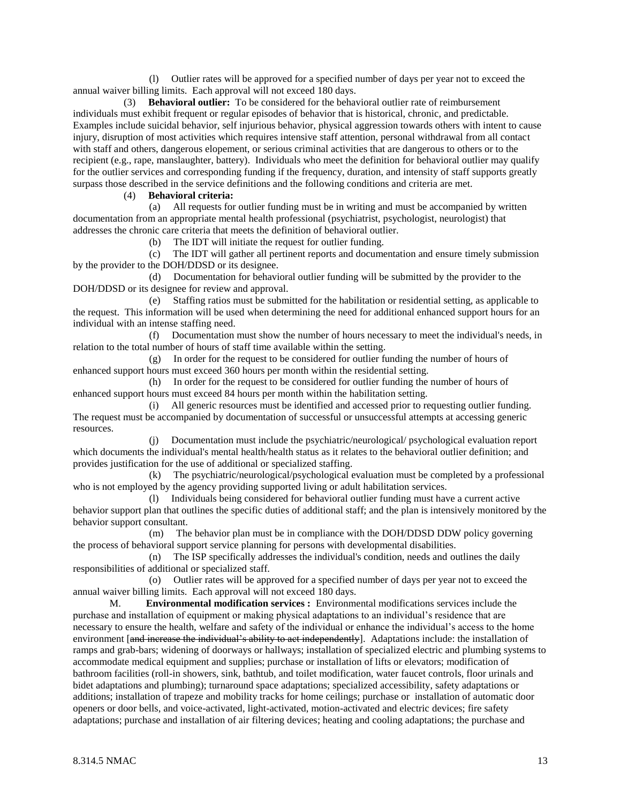(l) Outlier rates will be approved for a specified number of days per year not to exceed the annual waiver billing limits. Each approval will not exceed 180 days.

 (3) **Behavioral outlier:** To be considered for the behavioral outlier rate of reimbursement individuals must exhibit frequent or regular episodes of behavior that is historical, chronic, and predictable. Examples include suicidal behavior, self injurious behavior, physical aggression towards others with intent to cause injury, disruption of most activities which requires intensive staff attention, personal withdrawal from all contact with staff and others, dangerous elopement, or serious criminal activities that are dangerous to others or to the recipient (e.g., rape, manslaughter, battery). Individuals who meet the definition for behavioral outlier may qualify for the outlier services and corresponding funding if the frequency, duration, and intensity of staff supports greatly surpass those described in the service definitions and the following conditions and criteria are met.

#### (4) **Behavioral criteria:**

 (a) All requests for outlier funding must be in writing and must be accompanied by written documentation from an appropriate mental health professional (psychiatrist, psychologist, neurologist) that addresses the chronic care criteria that meets the definition of behavioral outlier.

(b) The IDT will initiate the request for outlier funding.

 (c) The IDT will gather all pertinent reports and documentation and ensure timely submission by the provider to the DOH/DDSD or its designee.

 (d) Documentation for behavioral outlier funding will be submitted by the provider to the DOH/DDSD or its designee for review and approval.

 (e) Staffing ratios must be submitted for the habilitation or residential setting, as applicable to the request. This information will be used when determining the need for additional enhanced support hours for an individual with an intense staffing need.

 (f) Documentation must show the number of hours necessary to meet the individual's needs, in relation to the total number of hours of staff time available within the setting.

 (g) In order for the request to be considered for outlier funding the number of hours of enhanced support hours must exceed 360 hours per month within the residential setting.

 (h) In order for the request to be considered for outlier funding the number of hours of enhanced support hours must exceed 84 hours per month within the habilitation setting.

 (i) All generic resources must be identified and accessed prior to requesting outlier funding. The request must be accompanied by documentation of successful or unsuccessful attempts at accessing generic resources.

 (j) Documentation must include the psychiatric/neurological/ psychological evaluation report which documents the individual's mental health/health status as it relates to the behavioral outlier definition; and provides justification for the use of additional or specialized staffing.

 (k) The psychiatric/neurological/psychological evaluation must be completed by a professional who is not employed by the agency providing supported living or adult habilitation services.

 (l) Individuals being considered for behavioral outlier funding must have a current active behavior support plan that outlines the specific duties of additional staff; and the plan is intensively monitored by the behavior support consultant.

 (m) The behavior plan must be in compliance with the DOH/DDSD DDW policy governing the process of behavioral support service planning for persons with developmental disabilities.

 (n) The ISP specifically addresses the individual's condition, needs and outlines the daily responsibilities of additional or specialized staff.

 (o) Outlier rates will be approved for a specified number of days per year not to exceed the annual waiver billing limits. Each approval will not exceed 180 days.

M. **Environmental modification services :** Environmental modifications services include the purchase and installation of equipment or making physical adaptations to an individual's residence that are necessary to ensure the health, welfare and safety of the individual or enhance the individual's access to the home environment [and increase the individual's ability to act independently]. Adaptations include: the installation of ramps and grab-bars; widening of doorways or hallways; installation of specialized electric and plumbing systems to accommodate medical equipment and supplies; purchase or installation of lifts or elevators; modification of bathroom facilities (roll-in showers, sink, bathtub, and toilet modification, water faucet controls, floor urinals and bidet adaptations and plumbing); turnaround space adaptations; specialized accessibility, safety adaptations or additions; installation of trapeze and mobility tracks for home ceilings; purchase or installation of automatic door openers or door bells, and voice-activated, light-activated, motion-activated and electric devices; fire safety adaptations; purchase and installation of air filtering devices; heating and cooling adaptations; the purchase and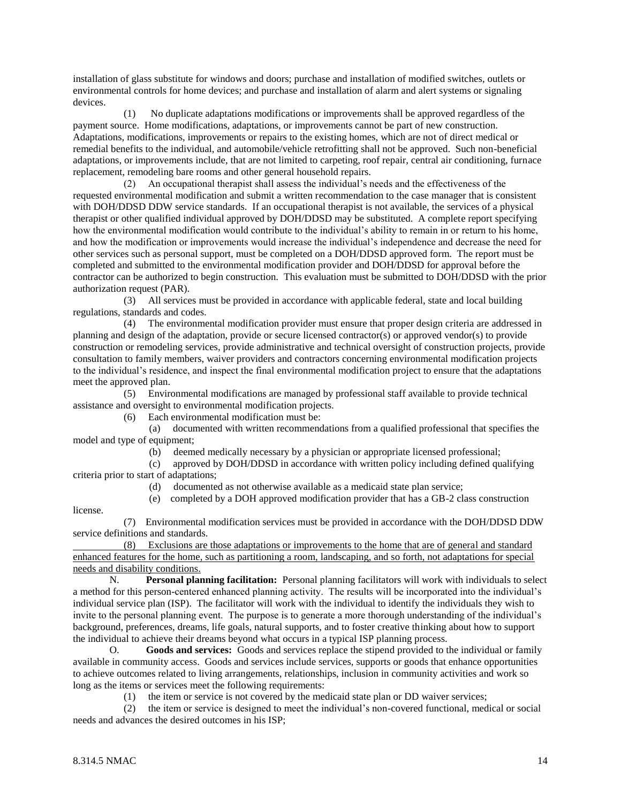installation of glass substitute for windows and doors; purchase and installation of modified switches, outlets or environmental controls for home devices; and purchase and installation of alarm and alert systems or signaling devices.

 (1) No duplicate adaptations modifications or improvements shall be approved regardless of the payment source. Home modifications, adaptations, or improvements cannot be part of new construction. Adaptations, modifications, improvements or repairs to the existing homes, which are not of direct medical or remedial benefits to the individual, and automobile/vehicle retrofitting shall not be approved. Such non-beneficial adaptations, or improvements include, that are not limited to carpeting, roof repair, central air conditioning, furnace replacement, remodeling bare rooms and other general household repairs.

 (2) An occupational therapist shall assess the individual's needs and the effectiveness of the requested environmental modification and submit a written recommendation to the case manager that is consistent with DOH/DDSD DDW service standards. If an occupational therapist is not available, the services of a physical therapist or other qualified individual approved by DOH/DDSD may be substituted. A complete report specifying how the environmental modification would contribute to the individual's ability to remain in or return to his home, and how the modification or improvements would increase the individual's independence and decrease the need for other services such as personal support, must be completed on a DOH/DDSD approved form. The report must be completed and submitted to the environmental modification provider and DOH/DDSD for approval before the contractor can be authorized to begin construction. This evaluation must be submitted to DOH/DDSD with the prior authorization request (PAR).

 (3) All services must be provided in accordance with applicable federal, state and local building regulations, standards and codes.

 (4) The environmental modification provider must ensure that proper design criteria are addressed in planning and design of the adaptation, provide or secure licensed contractor(s) or approved vendor(s) to provide construction or remodeling services, provide administrative and technical oversight of construction projects, provide consultation to family members, waiver providers and contractors concerning environmental modification projects to the individual's residence, and inspect the final environmental modification project to ensure that the adaptations meet the approved plan.

 (5) Environmental modifications are managed by professional staff available to provide technical assistance and oversight to environmental modification projects.

(6) Each environmental modification must be:

 (a) documented with written recommendations from a qualified professional that specifies the model and type of equipment;

(b) deemed medically necessary by a physician or appropriate licensed professional;

 (c) approved by DOH/DDSD in accordance with written policy including defined qualifying criteria prior to start of adaptations;

(d) documented as not otherwise available as a medicaid state plan service;

(e) completed by a DOH approved modification provider that has a GB-2 class construction

license.

 (7) Environmental modification services must be provided in accordance with the DOH/DDSD DDW service definitions and standards.

 (8) Exclusions are those adaptations or improvements to the home that are of general and standard enhanced features for the home, such as partitioning a room, landscaping, and so forth, not adaptations for special needs and disability conditions.

N. **Personal planning facilitation:** Personal planning facilitators will work with individuals to select a method for this person-centered enhanced planning activity. The results will be incorporated into the individual's individual service plan (ISP). The facilitator will work with the individual to identify the individuals they wish to invite to the personal planning event. The purpose is to generate a more thorough understanding of the individual's background, preferences, dreams, life goals, natural supports, and to foster creative thinking about how to support the individual to achieve their dreams beyond what occurs in a typical ISP planning process.

O. **Goods and services:** Goods and services replace the stipend provided to the individual or family available in community access. Goods and services include services, supports or goods that enhance opportunities to achieve outcomes related to living arrangements, relationships, inclusion in community activities and work so long as the items or services meet the following requirements:

(1) the item or service is not covered by the medicaid state plan or DD waiver services;

 (2) the item or service is designed to meet the individual's non-covered functional, medical or social needs and advances the desired outcomes in his ISP;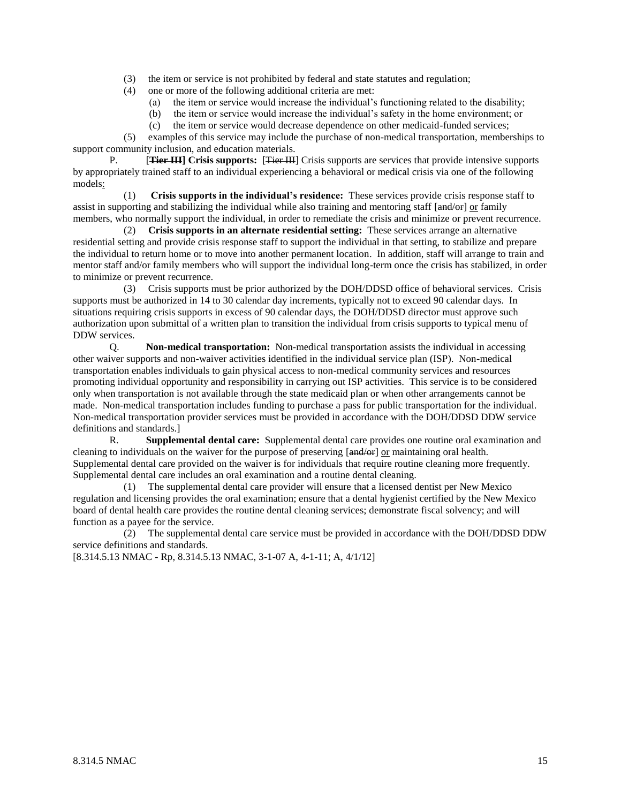- (3) the item or service is not prohibited by federal and state statutes and regulation;
- (4) one or more of the following additional criteria are met:
	- (a) the item or service would increase the individual's functioning related to the disability;
	- (b) the item or service would increase the individual's safety in the home environment; or
	- (c) the item or service would decrease dependence on other medicaid-funded services;

 (5) examples of this service may include the purchase of non-medical transportation, memberships to support community inclusion, and education materials.

P. [**Tier III] Crisis supports:** [Tier III] Crisis supports are services that provide intensive supports by appropriately trained staff to an individual experiencing a behavioral or medical crisis via one of the following models:

 (1) **Crisis supports in the individual's residence:** These services provide crisis response staff to assist in supporting and stabilizing the individual while also training and mentoring staff [and/or] or family members, who normally support the individual, in order to remediate the crisis and minimize or prevent recurrence.

 (2) **Crisis supports in an alternate residential setting:** These services arrange an alternative residential setting and provide crisis response staff to support the individual in that setting, to stabilize and prepare the individual to return home or to move into another permanent location. In addition, staff will arrange to train and mentor staff and/or family members who will support the individual long-term once the crisis has stabilized, in order to minimize or prevent recurrence.

 (3) Crisis supports must be prior authorized by the DOH/DDSD office of behavioral services. Crisis supports must be authorized in 14 to 30 calendar day increments, typically not to exceed 90 calendar days. In situations requiring crisis supports in excess of 90 calendar days, the DOH/DDSD director must approve such authorization upon submittal of a written plan to transition the individual from crisis supports to typical menu of DDW services.

Q. **Non-medical transportation:** Non-medical transportation assists the individual in accessing other waiver supports and non-waiver activities identified in the individual service plan (ISP). Non-medical transportation enables individuals to gain physical access to non-medical community services and resources promoting individual opportunity and responsibility in carrying out ISP activities. This service is to be considered only when transportation is not available through the state medicaid plan or when other arrangements cannot be made. Non-medical transportation includes funding to purchase a pass for public transportation for the individual. Non-medical transportation provider services must be provided in accordance with the DOH/DDSD DDW service definitions and standards.]

R. **Supplemental dental care:** Supplemental dental care provides one routine oral examination and cleaning to individuals on the waiver for the purpose of preserving  $[\overline{\text{and/or}}]$  or maintaining oral health. Supplemental dental care provided on the waiver is for individuals that require routine cleaning more frequently. Supplemental dental care includes an oral examination and a routine dental cleaning.

 (1) The supplemental dental care provider will ensure that a licensed dentist per New Mexico regulation and licensing provides the oral examination; ensure that a dental hygienist certified by the New Mexico board of dental health care provides the routine dental cleaning services; demonstrate fiscal solvency; and will function as a payee for the service.

 (2) The supplemental dental care service must be provided in accordance with the DOH/DDSD DDW service definitions and standards.

[8.314.5.13 NMAC - Rp, 8.314.5.13 NMAC, 3-1-07 A, 4-1-11; A, 4/1/12]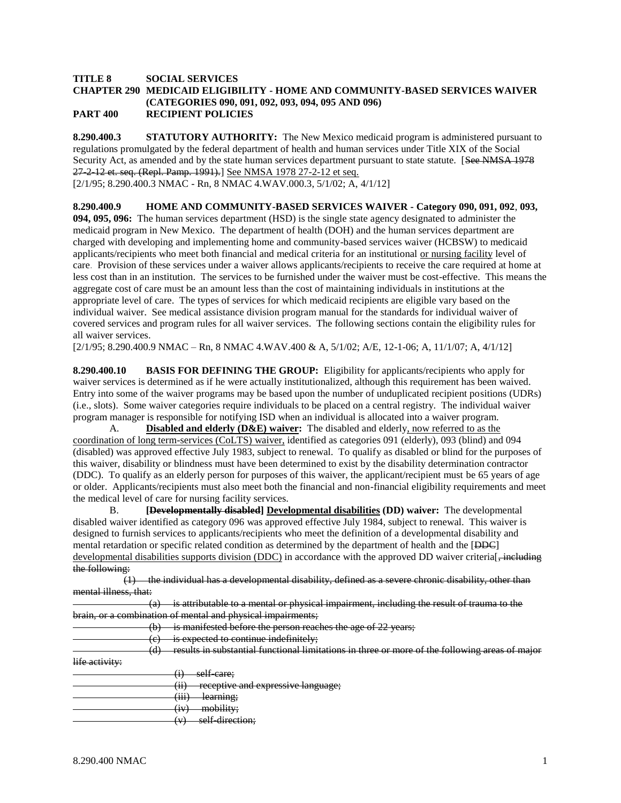#### **TITLE 8 SOCIAL SERVICES CHAPTER 290 MEDICAID ELIGIBILITY - HOME AND COMMUNITY-BASED SERVICES WAIVER (CATEGORIES 090, 091, 092, 093, 094, 095 AND 096) PART 400 RECIPIENT POLICIES**

**8.290.400.3 STATUTORY AUTHORITY:** The New Mexico medicaid program is administered pursuant to regulations promulgated by the federal department of health and human services under Title XIX of the Social Security Act, as amended and by the state human services department pursuant to state statute. [See NMSA 1978] 27-2-12 et. seq. (Repl. Pamp. 1991).] See NMSA 1978 27-2-12 et seq. [2/1/95; 8.290.400.3 NMAC - Rn, 8 NMAC 4.WAV.000.3, 5/1/02; A, 4/1/12]

**8.290.400.9 HOME AND COMMUNITY-BASED SERVICES WAIVER - Category 090, 091, 092**, **093, 094, 095, 096:** The human services department (HSD) is the single state agency designated to administer the medicaid program in New Mexico. The department of health (DOH) and the human services department are charged with developing and implementing home and community-based services waiver (HCBSW) to medicaid applicants/recipients who meet both financial and medical criteria for an institutional or nursing facility level of care. Provision of these services under a waiver allows applicants/recipients to receive the care required at home at less cost than in an institution. The services to be furnished under the waiver must be cost-effective. This means the aggregate cost of care must be an amount less than the cost of maintaining individuals in institutions at the appropriate level of care. The types of services for which medicaid recipients are eligible vary based on the individual waiver. See medical assistance division program manual for the standards for individual waiver of covered services and program rules for all waiver services. The following sections contain the eligibility rules for

[2/1/95; 8.290.400.9 NMAC – Rn, 8 NMAC 4.WAV.400 & A, 5/1/02; A/E, 12-1-06; A, 11/1/07; A, 4/1/12]

**8.290.400.10 BASIS FOR DEFINING THE GROUP:** Eligibility for applicants/recipients who apply for waiver services is determined as if he were actually institutionalized, although this requirement has been waived. Entry into some of the waiver programs may be based upon the number of unduplicated recipient positions (UDRs) (i.e., slots). Some waiver categories require individuals to be placed on a central registry. The individual waiver program manager is responsible for notifying ISD when an individual is allocated into a waiver program.

A. **Disabled and elderly (D&E) waiver:** The disabled and elderly, now referred to as the coordination of long term-services (CoLTS) waiver, identified as categories 091 (elderly), 093 (blind) and 094 (disabled) was approved effective July 1983, subject to renewal. To qualify as disabled or blind for the purposes of this waiver, disability or blindness must have been determined to exist by the disability determination contractor (DDC). To qualify as an elderly person for purposes of this waiver, the applicant/recipient must be 65 years of age or older. Applicants/recipients must also meet both the financial and non-financial eligibility requirements and meet the medical level of care for nursing facility services.

B. **[Developmentally disabled] Developmental disabilities (DD) waiver:** The developmental disabled waiver identified as category 096 was approved effective July 1984, subject to renewal. This waiver is designed to furnish services to applicants/recipients who meet the definition of a developmental disability and mental retardation or specific related condition as determined by the department of health and the [DDC] developmental disabilities supports division (DDC) in accordance with the approved DD waiver criteria<sup>[-including</sup> the following:

 (1) the individual has a developmental disability, defined as a severe chronic disability, other than mental illness, that:

| $\sqrt{2}$<br>u. | is attributable to a mental or physical impairment, including the result of trauma to the        |
|------------------|--------------------------------------------------------------------------------------------------|
|                  | brain, or a combination of mental and physical impairments:                                      |
| ιU.              | is manifested before the person reaches the age of 22 years;                                     |
| $\sim$<br>J      | is expected to continue indefinitely;                                                            |
| ū                | results in substantial functional limitations in three or more of the following areas of major   |
| life activity:   |                                                                                                  |
|                  | self care:<br>(i)                                                                                |
|                  | receptive and expressive language.<br>(11)<br><del>icceptive and expressive ianguage,</del><br>. |
|                  | $(222 - 1.5)$                                                                                    |

- learning;
- (iv) mobility;
	- (v) self-direction;

all waiver services.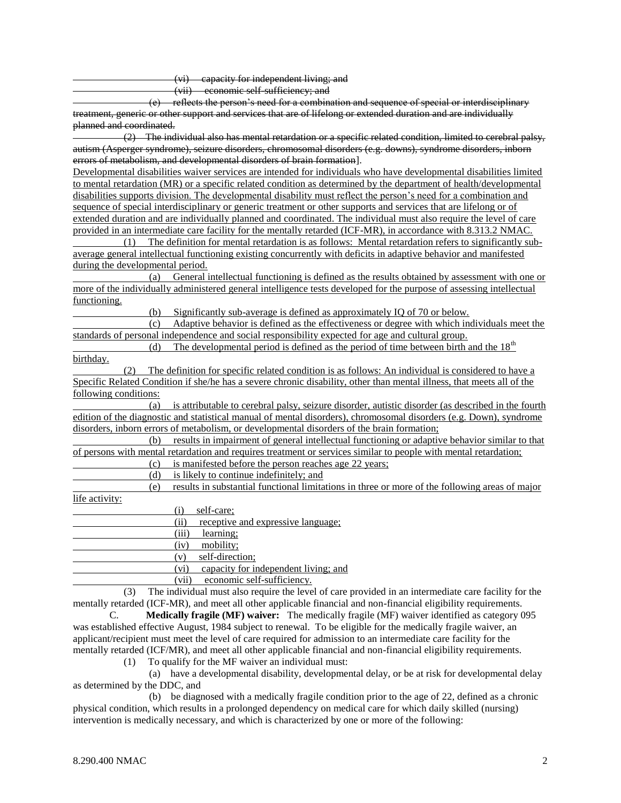(vi) capacity for independent living; and

(vii) economic self-sufficiency; and

 (e) reflects the person's need for a combination and sequence of special or interdisciplinary treatment, generic or other support and services that are of lifelong or extended duration and are individually planned and coordinated.

 (2) The individual also has mental retardation or a specific related condition, limited to cerebral palsy, autism (Asperger syndrome), seizure disorders, chromosomal disorders (e.g. downs), syndrome disorders, inborn errors of metabolism, and developmental disorders of brain formation].

Developmental disabilities waiver services are intended for individuals who have developmental disabilities limited to mental retardation (MR) or a specific related condition as determined by the department of health/developmental disabilities supports division. The developmental disability must reflect the person's need for a combination and sequence of special interdisciplinary or generic treatment or other supports and services that are lifelong or of extended duration and are individually planned and coordinated. The individual must also require the level of care provided in an intermediate care facility for the mentally retarded (ICF-MR), in accordance with 8.313.2 NMAC.

 (1) The definition for mental retardation is as follows: Mental retardation refers to significantly subaverage general intellectual functioning existing concurrently with deficits in adaptive behavior and manifested during the developmental period.

 (a) General intellectual functioning is defined as the results obtained by assessment with one or more of the individually administered general intelligence tests developed for the purpose of assessing intellectual functioning.

(b) Significantly sub-average is defined as approximately IQ of 70 or below.

 (c) Adaptive behavior is defined as the effectiveness or degree with which individuals meet the standards of personal independence and social responsibility expected for age and cultural group.

(d) The developmental period is defined as the period of time between birth and the  $18<sup>th</sup>$ birthday.

 (2) The definition for specific related condition is as follows: An individual is considered to have a Specific Related Condition if she/he has a severe chronic disability, other than mental illness, that meets all of the following conditions:

 (a) is attributable to cerebral palsy, seizure disorder, autistic disorder (as described in the fourth edition of the diagnostic and statistical manual of mental disorders), chromosomal disorders (e.g. Down), syndrome disorders, inborn errors of metabolism, or developmental disorders of the brain formation;

 (b) results in impairment of general intellectual functioning or adaptive behavior similar to that of persons with mental retardation and requires treatment or services similar to people with mental retardation;

(c) is manifested before the person reaches age 22 years;

(d) is likely to continue indefinitely; and

 (e) results in substantial functional limitations in three or more of the following areas of major life activity:

(i) self-care;

(ii) receptive and expressive language;

(iii) learning;

(iv) mobility;

(v) self-direction;

(vi) capacity for independent living; and

(vii) economic self-sufficiency.

 (3) The individual must also require the level of care provided in an intermediate care facility for the mentally retarded (ICF-MR), and meet all other applicable financial and non-financial eligibility requirements.

C. **Medically fragile (MF) waiver:** The medically fragile (MF) waiver identified as category 095 was established effective August, 1984 subject to renewal. To be eligible for the medically fragile waiver, an applicant/recipient must meet the level of care required for admission to an intermediate care facility for the mentally retarded (ICF/MR), and meet all other applicable financial and non-financial eligibility requirements.

(1) To qualify for the MF waiver an individual must:

 (a) have a developmental disability, developmental delay, or be at risk for developmental delay as determined by the DDC, and

 (b) be diagnosed with a medically fragile condition prior to the age of 22, defined as a chronic physical condition, which results in a prolonged dependency on medical care for which daily skilled (nursing) intervention is medically necessary, and which is characterized by one or more of the following: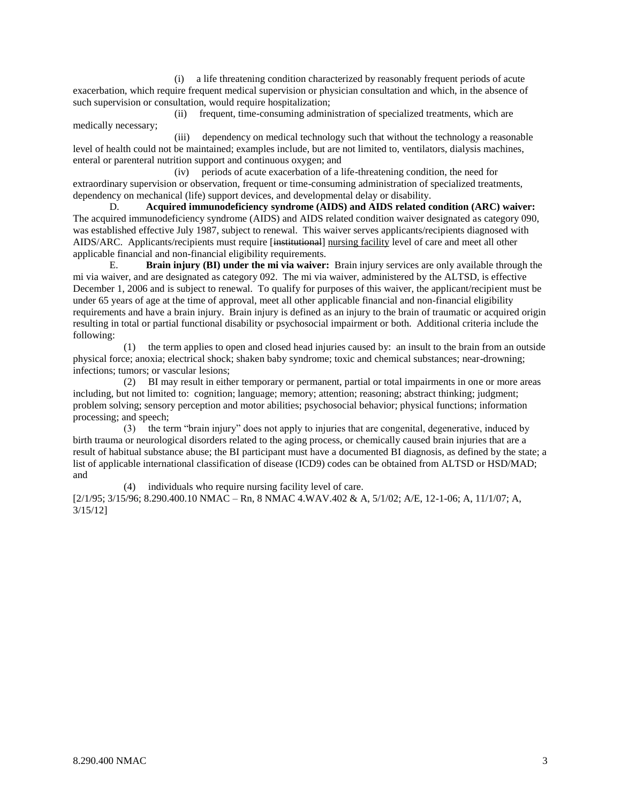(i) a life threatening condition characterized by reasonably frequent periods of acute exacerbation, which require frequent medical supervision or physician consultation and which, in the absence of such supervision or consultation, would require hospitalization;

 (ii) frequent, time-consuming administration of specialized treatments, which are medically necessary;

 (iii) dependency on medical technology such that without the technology a reasonable level of health could not be maintained; examples include, but are not limited to, ventilators, dialysis machines, enteral or parenteral nutrition support and continuous oxygen; and

 (iv) periods of acute exacerbation of a life-threatening condition, the need for extraordinary supervision or observation, frequent or time-consuming administration of specialized treatments, dependency on mechanical (life) support devices, and developmental delay or disability.

D. **Acquired immunodeficiency syndrome (AIDS) and AIDS related condition (ARC) waiver:** The acquired immunodeficiency syndrome (AIDS) and AIDS related condition waiver designated as category 090, was established effective July 1987, subject to renewal. This waiver serves applicants/recipients diagnosed with AIDS/ARC. Applicants/recipients must require [institutional] nursing facility level of care and meet all other applicable financial and non-financial eligibility requirements.

E. **Brain injury (BI) under the mi via waiver:** Brain injury services are only available through the mi via waiver, and are designated as category 092. The mi via waiver, administered by the ALTSD, is effective December 1, 2006 and is subject to renewal. To qualify for purposes of this waiver, the applicant/recipient must be under 65 years of age at the time of approval, meet all other applicable financial and non-financial eligibility requirements and have a brain injury. Brain injury is defined as an injury to the brain of traumatic or acquired origin resulting in total or partial functional disability or psychosocial impairment or both. Additional criteria include the following:

 (1) the term applies to open and closed head injuries caused by: an insult to the brain from an outside physical force; anoxia; electrical shock; shaken baby syndrome; toxic and chemical substances; near-drowning; infections; tumors; or vascular lesions;

 (2) BI may result in either temporary or permanent, partial or total impairments in one or more areas including, but not limited to: cognition; language; memory; attention; reasoning; abstract thinking; judgment; problem solving; sensory perception and motor abilities; psychosocial behavior; physical functions; information processing; and speech;

 (3) the term "brain injury" does not apply to injuries that are congenital, degenerative, induced by birth trauma or neurological disorders related to the aging process, or chemically caused brain injuries that are a result of habitual substance abuse; the BI participant must have a documented BI diagnosis, as defined by the state; a list of applicable international classification of disease (ICD9) codes can be obtained from ALTSD or HSD/MAD; and

 (4) individuals who require nursing facility level of care. [2/1/95; 3/15/96; 8.290.400.10 NMAC – Rn, 8 NMAC 4.WAV.402 & A, 5/1/02; A/E, 12-1-06; A, 11/1/07; A, 3/15/12]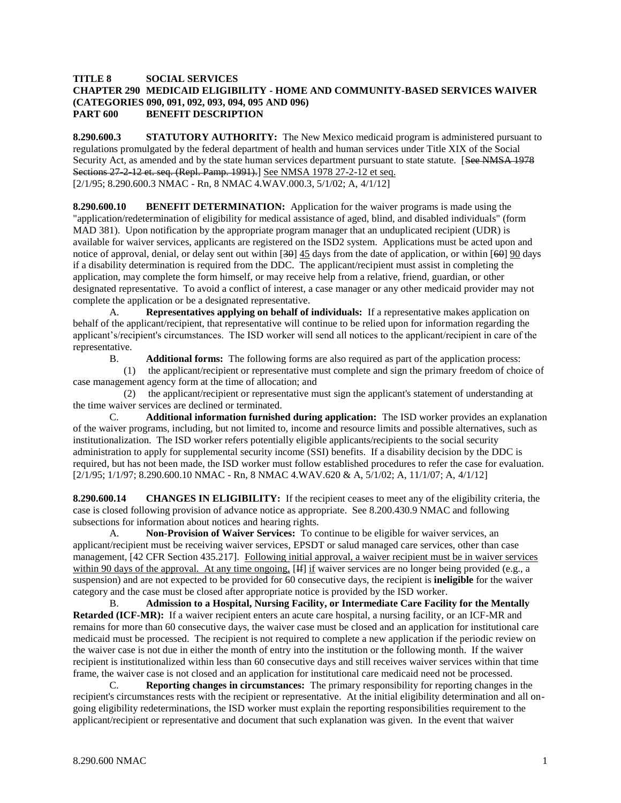#### **TITLE 8 SOCIAL SERVICES CHAPTER 290 MEDICAID ELIGIBILITY - HOME AND COMMUNITY-BASED SERVICES WAIVER (CATEGORIES 090, 091, 092, 093, 094, 095 AND 096) PART 600 BENEFIT DESCRIPTION**

**8.290.600.3 STATUTORY AUTHORITY:** The New Mexico medicaid program is administered pursuant to regulations promulgated by the federal department of health and human services under Title XIX of the Social Security Act, as amended and by the state human services department pursuant to state statute. [See NMSA 1978 Sections 27-2-12 et. seq. (Repl. Pamp. 1991).] See NMSA 1978 27-2-12 et seq. [2/1/95; 8.290.600.3 NMAC - Rn, 8 NMAC 4.WAV.000.3, 5/1/02; A, 4/1/12]

**8.290.600.10 BENEFIT DETERMINATION:** Application for the waiver programs is made using the "application/redetermination of eligibility for medical assistance of aged, blind, and disabled individuals" (form MAD 381). Upon notification by the appropriate program manager that an unduplicated recipient (UDR) is available for waiver services, applicants are registered on the ISD2 system. Applications must be acted upon and notice of approval, denial, or delay sent out within [30] 45 days from the date of application, or within [60] 90 days if a disability determination is required from the DDC. The applicant/recipient must assist in completing the application, may complete the form himself, or may receive help from a relative, friend, guardian, or other designated representative. To avoid a conflict of interest, a case manager or any other medicaid provider may not complete the application or be a designated representative.

A. **Representatives applying on behalf of individuals:** If a representative makes application on behalf of the applicant/recipient, that representative will continue to be relied upon for information regarding the applicant's/recipient's circumstances. The ISD worker will send all notices to the applicant/recipient in care of the representative.

B. **Additional forms:** The following forms are also required as part of the application process:

 (1) the applicant/recipient or representative must complete and sign the primary freedom of choice of case management agency form at the time of allocation; and

 (2) the applicant/recipient or representative must sign the applicant's statement of understanding at the time waiver services are declined or terminated.

C. **Additional information furnished during application:** The ISD worker provides an explanation of the waiver programs, including, but not limited to, income and resource limits and possible alternatives, such as institutionalization. The ISD worker refers potentially eligible applicants/recipients to the social security administration to apply for supplemental security income (SSI) benefits. If a disability decision by the DDC is required, but has not been made, the ISD worker must follow established procedures to refer the case for evaluation. [2/1/95; 1/1/97; 8.290.600.10 NMAC - Rn, 8 NMAC 4.WAV.620 & A, 5/1/02; A, 11/1/07; A, 4/1/12]

**8.290.600.14 CHANGES IN ELIGIBILITY:** If the recipient ceases to meet any of the eligibility criteria, the case is closed following provision of advance notice as appropriate. See 8.200.430.9 NMAC and following subsections for information about notices and hearing rights.

A. **Non-Provision of Waiver Services:** To continue to be eligible for waiver services, an applicant/recipient must be receiving waiver services, EPSDT or salud managed care services, other than case management, [42 CFR Section 435.217]. Following initial approval, a waiver recipient must be in waiver services within 90 days of the approval. At any time ongoing, [H] if waiver services are no longer being provided (e.g., a suspension) and are not expected to be provided for 60 consecutive days, the recipient is **ineligible** for the waiver category and the case must be closed after appropriate notice is provided by the ISD worker.

B. **Admission to a Hospital, Nursing Facility, or Intermediate Care Facility for the Mentally Retarded (ICF-MR):** If a waiver recipient enters an acute care hospital, a nursing facility, or an ICF-MR and remains for more than 60 consecutive days, the waiver case must be closed and an application for institutional care medicaid must be processed. The recipient is not required to complete a new application if the periodic review on the waiver case is not due in either the month of entry into the institution or the following month. If the waiver recipient is institutionalized within less than 60 consecutive days and still receives waiver services within that time frame, the waiver case is not closed and an application for institutional care medicaid need not be processed.

C. **Reporting changes in circumstances:** The primary responsibility for reporting changes in the recipient's circumstances rests with the recipient or representative. At the initial eligibility determination and all ongoing eligibility redeterminations, the ISD worker must explain the reporting responsibilities requirement to the applicant/recipient or representative and document that such explanation was given. In the event that waiver